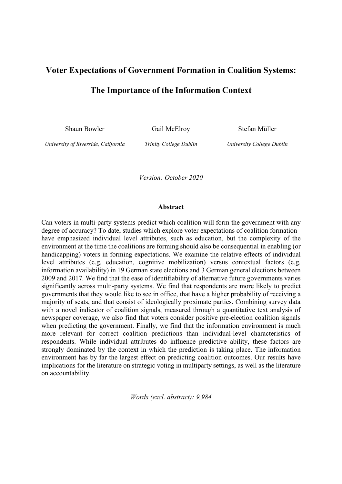# **Voter Expectations of Government Formation in Coalition Systems: The Importance of the Information Context**

Shaun Bowler Gail McElroy Stefan Müller

*University of Riverside, California Trinity College Dublin University College Dublin*

*Version: October 2020*

#### **Abstract**

Can voters in multi-party systems predict which coalition will form the government with any degree of accuracy? To date, studies which explore voter expectations of coalition formation have emphasized individual level attributes, such as education, but the complexity of the environment at the time the coalitions are forming should also be consequential in enabling (or handicapping) voters in forming expectations. We examine the relative effects of individual level attributes (e.g. education, cognitive mobilization) versus contextual factors (e.g. information availability) in 19 German state elections and 3 German general elections between 2009 and 2017. We find that the ease of identifiability of alternative future governments varies significantly across multi-party systems. We find that respondents are more likely to predict governments that they would like to see in office, that have a higher probability of receiving a majority of seats, and that consist of ideologically proximate parties. Combining survey data with a novel indicator of coalition signals, measured through a quantitative text analysis of newspaper coverage, we also find that voters consider positive pre-election coalition signals when predicting the government. Finally, we find that the information environment is much more relevant for correct coalition predictions than individual-level characteristics of respondents. While individual attributes do influence predictive ability, these factors are strongly dominated by the context in which the prediction is taking place. The information environment has by far the largest effect on predicting coalition outcomes. Our results have implications for the literature on strategic voting in multiparty settings, as well as the literature on accountability.

*Words (excl. abstract): 9,984*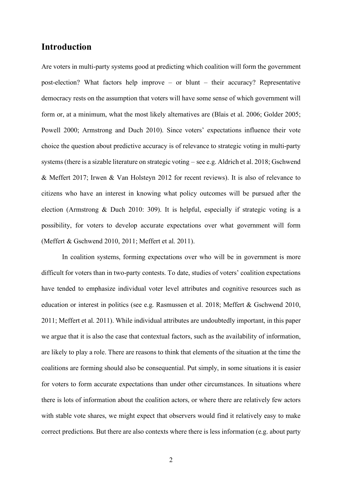# **Introduction**

Are voters in multi-party systems good at predicting which coalition will form the government post-election? What factors help improve – or blunt – their accuracy? Representative democracy rests on the assumption that voters will have some sense of which government will form or, at a minimum, what the most likely alternatives are (Blais et al. 2006; Golder 2005; Powell 2000; Armstrong and Duch 2010). Since voters' expectations influence their vote choice the question about predictive accuracy is of relevance to strategic voting in multi-party systems (there is a sizable literature on strategic voting – see e.g. Aldrich et al. 2018; Gschwend & Meffert 2017; Irwen & Van Holsteyn 2012 for recent reviews). It is also of relevance to citizens who have an interest in knowing what policy outcomes will be pursued after the election (Armstrong & Duch 2010: 309). It is helpful, especially if strategic voting is a possibility, for voters to develop accurate expectations over what government will form (Meffert & Gschwend 2010, 2011; Meffert et al. 2011).

In coalition systems, forming expectations over who will be in government is more difficult for voters than in two-party contests. To date, studies of voters' coalition expectations have tended to emphasize individual voter level attributes and cognitive resources such as education or interest in politics (see e.g. Rasmussen et al. 2018; Meffert & Gschwend 2010, 2011; Meffert et al. 2011). While individual attributes are undoubtedly important, in this paper we argue that it is also the case that contextual factors, such as the availability of information, are likely to play a role. There are reasons to think that elements of the situation at the time the coalitions are forming should also be consequential. Put simply, in some situations it is easier for voters to form accurate expectations than under other circumstances. In situations where there is lots of information about the coalition actors, or where there are relatively few actors with stable vote shares, we might expect that observers would find it relatively easy to make correct predictions. But there are also contexts where there is less information (e.g. about party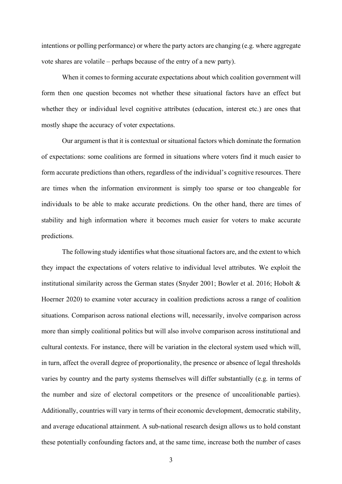intentions or polling performance) or where the party actors are changing (e.g. where aggregate vote shares are volatile – perhaps because of the entry of a new party).

When it comes to forming accurate expectations about which coalition government will form then one question becomes not whether these situational factors have an effect but whether they or individual level cognitive attributes (education, interest etc.) are ones that mostly shape the accuracy of voter expectations.

Our argument is that it is contextual or situational factors which dominate the formation of expectations: some coalitions are formed in situations where voters find it much easier to form accurate predictions than others, regardless of the individual's cognitive resources. There are times when the information environment is simply too sparse or too changeable for individuals to be able to make accurate predictions. On the other hand, there are times of stability and high information where it becomes much easier for voters to make accurate predictions.

The following study identifies what those situational factors are, and the extent to which they impact the expectations of voters relative to individual level attributes. We exploit the institutional similarity across the German states (Snyder 2001; Bowler et al. 2016; Hobolt  $\&$ Hoerner 2020) to examine voter accuracy in coalition predictions across a range of coalition situations. Comparison across national elections will, necessarily, involve comparison across more than simply coalitional politics but will also involve comparison across institutional and cultural contexts. For instance, there will be variation in the electoral system used which will, in turn, affect the overall degree of proportionality, the presence or absence of legal thresholds varies by country and the party systems themselves will differ substantially (e.g. in terms of the number and size of electoral competitors or the presence of uncoalitionable parties). Additionally, countries will vary in terms of their economic development, democratic stability, and average educational attainment. A sub-national research design allows us to hold constant these potentially confounding factors and, at the same time, increase both the number of cases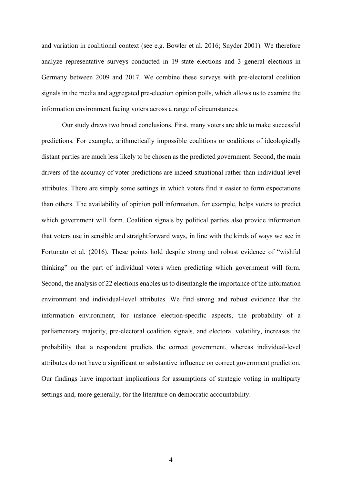and variation in coalitional context (see e.g. Bowler et al. 2016; Snyder 2001). We therefore analyze representative surveys conducted in 19 state elections and 3 general elections in Germany between 2009 and 2017. We combine these surveys with pre-electoral coalition signals in the media and aggregated pre-election opinion polls, which allows us to examine the information environment facing voters across a range of circumstances.

Our study draws two broad conclusions. First, many voters are able to make successful predictions. For example, arithmetically impossible coalitions or coalitions of ideologically distant parties are much less likely to be chosen as the predicted government. Second, the main drivers of the accuracy of voter predictions are indeed situational rather than individual level attributes. There are simply some settings in which voters find it easier to form expectations than others. The availability of opinion poll information, for example, helps voters to predict which government will form. Coalition signals by political parties also provide information that voters use in sensible and straightforward ways, in line with the kinds of ways we see in Fortunato et al. (2016). These points hold despite strong and robust evidence of "wishful thinking" on the part of individual voters when predicting which government will form. Second, the analysis of 22 elections enables us to disentangle the importance of the information environment and individual-level attributes. We find strong and robust evidence that the information environment, for instance election-specific aspects, the probability of a parliamentary majority, pre-electoral coalition signals, and electoral volatility, increases the probability that a respondent predicts the correct government, whereas individual-level attributes do not have a significant or substantive influence on correct government prediction. Our findings have important implications for assumptions of strategic voting in multiparty settings and, more generally, for the literature on democratic accountability.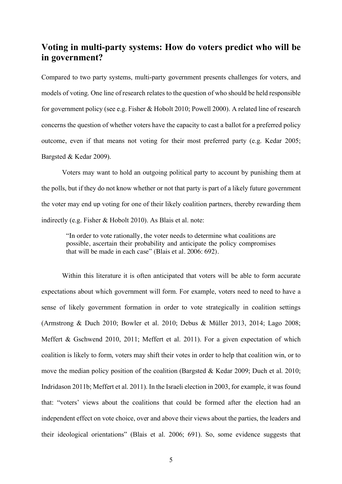# **Voting in multi-party systems: How do voters predict who will be in government?**

Compared to two party systems, multi-party government presents challenges for voters, and models of voting. One line of research relates to the question of who should be held responsible for government policy (see e.g. Fisher & Hobolt 2010; Powell 2000). A related line of research concerns the question of whether voters have the capacity to cast a ballot for a preferred policy outcome, even if that means not voting for their most preferred party (e.g. Kedar 2005; Bargsted & Kedar 2009).

Voters may want to hold an outgoing political party to account by punishing them at the polls, but if they do not know whether or not that party is part of a likely future government the voter may end up voting for one of their likely coalition partners, thereby rewarding them indirectly (e.g. Fisher & Hobolt 2010). As Blais et al. note:

"In order to vote rationally, the voter needs to determine what coalitions are possible, ascertain their probability and anticipate the policy compromises that will be made in each case" (Blais et al. 2006: 692).

Within this literature it is often anticipated that voters will be able to form accurate expectations about which government will form. For example, voters need to need to have a sense of likely government formation in order to vote strategically in coalition settings (Armstrong & Duch 2010; Bowler et al. 2010; Debus & Müller 2013, 2014; Lago 2008; Meffert & Gschwend 2010, 2011; Meffert et al. 2011). For a given expectation of which coalition is likely to form, voters may shift their votes in order to help that coalition win, or to move the median policy position of the coalition (Bargsted & Kedar 2009; Duch et al. 2010; Indridason 2011b; Meffert et al. 2011). In the Israeli election in 2003, for example, it was found that: "voters' views about the coalitions that could be formed after the election had an independent effect on vote choice, over and above their views about the parties, the leaders and their ideological orientations" (Blais et al. 2006; 691). So, some evidence suggests that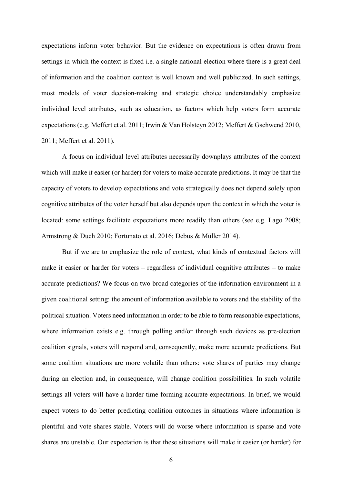expectations inform voter behavior. But the evidence on expectations is often drawn from settings in which the context is fixed i.e. a single national election where there is a great deal of information and the coalition context is well known and well publicized. In such settings, most models of voter decision-making and strategic choice understandably emphasize individual level attributes, such as education, as factors which help voters form accurate expectations (e.g. Meffert et al. 2011; Irwin & Van Holsteyn 2012; Meffert & Gschwend 2010, 2011; Meffert et al. 2011).

A focus on individual level attributes necessarily downplays attributes of the context which will make it easier (or harder) for voters to make accurate predictions. It may be that the capacity of voters to develop expectations and vote strategically does not depend solely upon cognitive attributes of the voter herself but also depends upon the context in which the voter is located: some settings facilitate expectations more readily than others (see e.g. Lago 2008; Armstrong & Duch 2010; Fortunato et al. 2016; Debus & Müller 2014).

But if we are to emphasize the role of context, what kinds of contextual factors will make it easier or harder for voters – regardless of individual cognitive attributes – to make accurate predictions? We focus on two broad categories of the information environment in a given coalitional setting: the amount of information available to voters and the stability of the political situation. Voters need information in order to be able to form reasonable expectations, where information exists e.g. through polling and/or through such devices as pre-election coalition signals, voters will respond and, consequently, make more accurate predictions. But some coalition situations are more volatile than others: vote shares of parties may change during an election and, in consequence, will change coalition possibilities. In such volatile settings all voters will have a harder time forming accurate expectations. In brief, we would expect voters to do better predicting coalition outcomes in situations where information is plentiful and vote shares stable. Voters will do worse where information is sparse and vote shares are unstable. Our expectation is that these situations will make it easier (or harder) for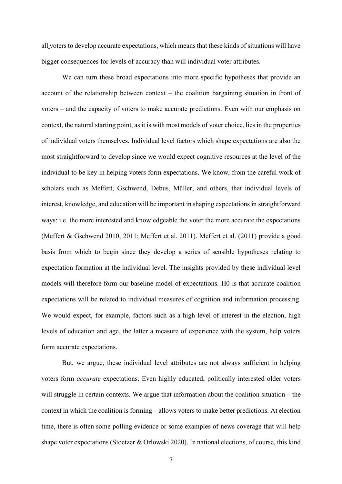all voters to develop accurate expectations, which means that these kinds of situations will have bigger consequences for levels of accuracy than will individual voter attributes.

We can turn these broad expectations into more specific hypotheses that provide an account of the relationship between context – the coalition bargaining situation in front of voters – and the capacity of voters to make accurate predictions. Even with our emphasis on context, the natural starting point, as it is with most models of voter choice, lies in the properties of individual voters themselves. Individual level factors which shape expectations are also the most straightforward to develop since we would expect cognitive resources at the level of the individual to be key in helping voters form expectations. We know, from the careful work of scholars such as Meffert, Gschwend, Debus, Müller, and others, that individual levels of interest, knowledge, and education will be important in shaping expectations in straightforward ways: i.e. the more interested and knowledgeable the voter the more accurate the expectations (Meffert & Gschwend 2010, 2011; Meffert et al. 2011). Meffert et al. (2011) provide a good basis from which to begin since they develop a series of sensible hypotheses relating to expectation formation at the individual level. The insights provided by these individual level models will therefore form our baseline model of expectations. H0 is that accurate coalition expectations will be related to individual measures of cognition and information processing. We would expect, for example, factors such as a high level of interest in the election, high levels of education and age, the latter a measure of experience with the system, help voters form accurate expectations.

But, we argue, these individual level attributes are not always sufficient in helping voters form *accurate* expectations. Even highly educated, politically interested older voters will struggle in certain contexts. We argue that information about the coalition situation – the context in which the coalition is forming – allows voters to make better predictions. At election time, there is often some polling evidence or some examples of news coverage that will help shape voter expectations (Stoetzer & Orlowski 2020). In national elections, of course, this kind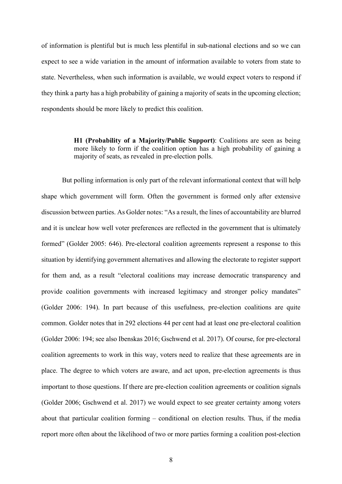of information is plentiful but is much less plentiful in sub-national elections and so we can expect to see a wide variation in the amount of information available to voters from state to state. Nevertheless, when such information is available, we would expect voters to respond if they think a party has a high probability of gaining a majority of seats in the upcoming election; respondents should be more likely to predict this coalition.

> **H1 (Probability of a Majority/Public Support)**: Coalitions are seen as being more likely to form if the coalition option has a high probability of gaining a majority of seats, as revealed in pre-election polls.

But polling information is only part of the relevant informational context that will help shape which government will form. Often the government is formed only after extensive discussion between parties. As Golder notes: "As a result, the lines of accountability are blurred and it is unclear how well voter preferences are reflected in the government that is ultimately formed" (Golder 2005: 646). Pre-electoral coalition agreements represent a response to this situation by identifying government alternatives and allowing the electorate to register support for them and, as a result "electoral coalitions may increase democratic transparency and provide coalition governments with increased legitimacy and stronger policy mandates" (Golder 2006: 194). In part because of this usefulness, pre-election coalitions are quite common. Golder notes that in 292 elections 44 per cent had at least one pre-electoral coalition (Golder 2006: 194; see also Ibenskas 2016; Gschwend et al. 2017). Of course, for pre-electoral coalition agreements to work in this way, voters need to realize that these agreements are in place. The degree to which voters are aware, and act upon, pre-election agreements is thus important to those questions. If there are pre-election coalition agreements or coalition signals (Golder 2006; Gschwend et al. 2017) we would expect to see greater certainty among voters about that particular coalition forming – conditional on election results. Thus, if the media report more often about the likelihood of two or more parties forming a coalition post-election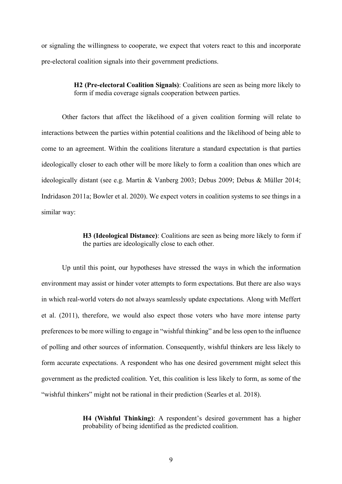or signaling the willingness to cooperate, we expect that voters react to this and incorporate pre-electoral coalition signals into their government predictions.

> **H2 (Pre-electoral Coalition Signals)**: Coalitions are seen as being more likely to form if media coverage signals cooperation between parties.

Other factors that affect the likelihood of a given coalition forming will relate to interactions between the parties within potential coalitions and the likelihood of being able to come to an agreement. Within the coalitions literature a standard expectation is that parties ideologically closer to each other will be more likely to form a coalition than ones which are ideologically distant (see e.g. Martin & Vanberg 2003; Debus 2009; Debus & Müller 2014; Indridason 2011a; Bowler et al. 2020). We expect voters in coalition systems to see things in a similar way:

> **H3 (Ideological Distance)**: Coalitions are seen as being more likely to form if the parties are ideologically close to each other.

Up until this point, our hypotheses have stressed the ways in which the information environment may assist or hinder voter attempts to form expectations. But there are also ways in which real-world voters do not always seamlessly update expectations. Along with Meffert et al. (2011), therefore, we would also expect those voters who have more intense party preferences to be more willing to engage in "wishful thinking" and be less open to the influence of polling and other sources of information. Consequently, wishful thinkers are less likely to form accurate expectations. A respondent who has one desired government might select this government as the predicted coalition. Yet, this coalition is less likely to form, as some of the "wishful thinkers" might not be rational in their prediction (Searles et al. 2018).

> **H4 (Wishful Thinking)**: A respondent's desired government has a higher probability of being identified as the predicted coalition.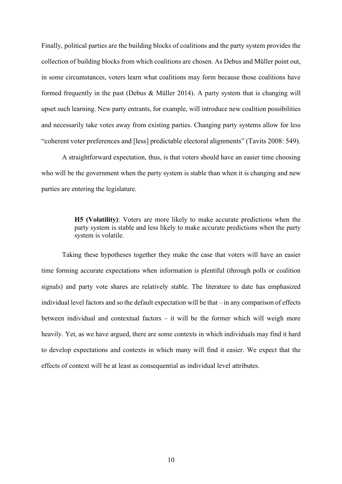Finally, political parties are the building blocks of coalitions and the party system provides the collection of building blocks from which coalitions are chosen. As Debus and Müller point out, in some circumstances, voters learn what coalitions may form because those coalitions have formed frequently in the past (Debus & Müller 2014). A party system that is changing will upset such learning. New party entrants, for example, will introduce new coalition possibilities and necessarily take votes away from existing parties. Changing party systems allow for less "coherent voter preferences and [less] predictable electoral alignments" (Tavits 2008: 549).

A straightforward expectation, thus, is that voters should have an easier time choosing who will be the government when the party system is stable than when it is changing and new parties are entering the legislature.

> **H5 (Volatility)**: Voters are more likely to make accurate predictions when the party system is stable and less likely to make accurate predictions when the party system is volatile.

Taking these hypotheses together they make the case that voters will have an easier time forming accurate expectations when information is plentiful (through polls or coalition signals) and party vote shares are relatively stable. The literature to date has emphasized individual level factors and so the default expectation will be that – in any comparison of effects between individual and contextual factors – it will be the former which will weigh more heavily. Yet, as we have argued, there are some contexts in which individuals may find it hard to develop expectations and contexts in which many will find it easier. We expect that the effects of context will be at least as consequential as individual level attributes.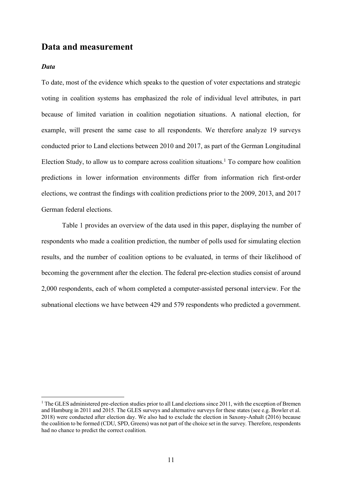## **Data and measurement**

### *Data*

To date, most of the evidence which speaks to the question of voter expectations and strategic voting in coalition systems has emphasized the role of individual level attributes, in part because of limited variation in coalition negotiation situations. A national election, for example, will present the same case to all respondents. We therefore analyze 19 surveys conducted prior to Land elections between 2010 and 2017, as part of the German Longitudinal Election Study, to allow us to compare across coalition situations. <sup>1</sup> To compare how coalition predictions in lower information environments differ from information rich first-order elections, we contrast the findings with coalition predictions prior to the 2009, 2013, and 2017 German federal elections.

Table 1 provides an overview of the data used in this paper, displaying the number of respondents who made a coalition prediction, the number of polls used for simulating election results, and the number of coalition options to be evaluated, in terms of their likelihood of becoming the government after the election. The federal pre-election studies consist of around 2,000 respondents, each of whom completed a computer-assisted personal interview. For the subnational elections we have between 429 and 579 respondents who predicted a government.

 $1$  The GLES administered pre-election studies prior to all Land elections since 2011, with the exception of Bremen and Hamburg in 2011 and 2015. The GLES surveys and alternative surveys for these states (see e.g. Bowler et al. 2018) were conducted after election day. We also had to exclude the election in Saxony-Anhalt (2016) because the coalition to be formed (CDU, SPD, Greens) was not part of the choice set in the survey. Therefore, respondents had no chance to predict the correct coalition.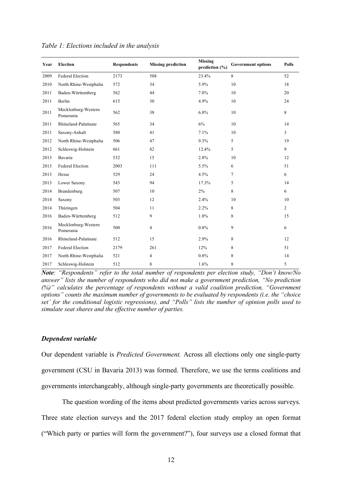| Year | <b>Election</b>                  | <b>Respondents</b> | <b>Missing prediction</b> | <b>Missing</b><br>prediction $(\% )$ | <b>Government options</b> | <b>Polls</b>   |
|------|----------------------------------|--------------------|---------------------------|--------------------------------------|---------------------------|----------------|
| 2009 | <b>Federal Election</b>          | 2173               | 508                       | 23.4%                                | $8\,$                     | 52             |
| 2010 | North Rhine-Westphalia           | 572                | 34                        | 5.9%                                 | 10                        | 18             |
| 2011 | Baden-Württemberg                | 562                | 44                        | 7.8%                                 | 10                        | 20             |
| 2011 | Berlin                           | 615                | 30                        | 4.9%                                 | 10                        | 24             |
| 2011 | Mecklenburg-Western<br>Pomerania | 562                | 38                        | 6.8%                                 | 10                        | 8              |
| 2011 | Rhineland-Palatinate             | 565                | 34                        | 6%                                   | 10                        | 14             |
| 2011 | Saxony-Anhalt                    | 580                | 41                        | 7.1%                                 | 10                        | 3              |
| 2012 | North Rhine-Westphalia           | 506                | 47                        | 9.3%                                 | 5                         | 19             |
| 2012 | Schleswig-Holstein               | 661                | 82                        | 12.4%                                | 5                         | 9              |
| 2013 | Bavaria                          | 532                | 15                        | 2.8%                                 | 10                        | 12             |
| 2013 | <b>Federal Election</b>          | 2003               | 111                       | 5.5%                                 | 6                         | 51             |
| 2013 | Hesse                            | 529                | 24                        | 4.5%                                 | $\tau$                    | 6              |
| 2013 | Lower Saxony                     | 543                | 94                        | 17.3%                                | 5                         | 14             |
| 2014 | Brandenburg                      | 507                | 10                        | $2\%$                                | 8                         | 6              |
| 2014 | Saxony                           | 503                | 12                        | 2.4%                                 | 10                        | 10             |
| 2014 | Thüringen                        | 504                | 11                        | 2.2%                                 | 8                         | $\overline{2}$ |
| 2016 | Baden-Württemberg                | 512                | 9                         | 1.8%                                 | 8                         | 15             |
| 2016 | Mecklenburg-Western<br>Pomerania | 500                | $\overline{4}$            | 0.8%                                 | 9                         | 6              |
| 2016 | Rhineland-Palatinate             | 512                | 15                        | 2.9%                                 | 8                         | 12             |
| 2017 | <b>Federal Election</b>          | 2179               | 261                       | 12%                                  | 8                         | 51             |
| 2017 | North Rhine-Westphalia           | 521                | $\overline{4}$            | 0.8%                                 | 8                         | 14             |
| 2017 | Schleswig-Holstein               | 512                | 8                         | 1.6%                                 | 8                         | 5              |

*Table 1: Elections included in the analysis* 

*Note: "Respondents" refer to the total number of respondents per election study, "Don't know/No answer" lists the number of respondents who did not make a government prediction, "No prediction (%)" calculates the percentage of respondents without a valid coalition prediction, "Government options" counts the maximum number of governments to be evaluated by respondents (i.e. the "choice set' for the conditional logistic regressions), and "Polls" lists the number of opinion polls used to simulate seat shares and the effective number of parties.*

#### *Dependent variable*

Our dependent variable is *Predicted Government.* Across all elections only one single-party government (CSU in Bavaria 2013) was formed. Therefore, we use the terms coalitions and governments interchangeably, although single-party governments are theoretically possible.

The question wording of the items about predicted governments varies across surveys. Three state election surveys and the 2017 federal election study employ an open format ("Which party or parties will form the government?"), four surveys use a closed format that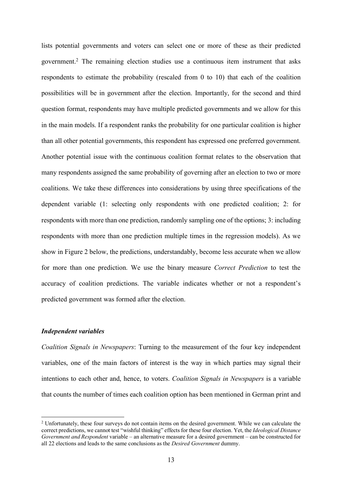lists potential governments and voters can select one or more of these as their predicted government.2 The remaining election studies use a continuous item instrument that asks respondents to estimate the probability (rescaled from 0 to 10) that each of the coalition possibilities will be in government after the election. Importantly, for the second and third question format, respondents may have multiple predicted governments and we allow for this in the main models. If a respondent ranks the probability for one particular coalition is higher than all other potential governments, this respondent has expressed one preferred government. Another potential issue with the continuous coalition format relates to the observation that many respondents assigned the same probability of governing after an election to two or more coalitions. We take these differences into considerations by using three specifications of the dependent variable (1: selecting only respondents with one predicted coalition; 2: for respondents with more than one prediction, randomly sampling one of the options; 3: including respondents with more than one prediction multiple times in the regression models). As we show in Figure 2 below, the predictions, understandably, become less accurate when we allow for more than one prediction. We use the binary measure *Correct Prediction* to test the accuracy of coalition predictions. The variable indicates whether or not a respondent's predicted government was formed after the election.

### *Independent variables*

*Coalition Signals in Newspapers*: Turning to the measurement of the four key independent variables, one of the main factors of interest is the way in which parties may signal their intentions to each other and, hence, to voters. *Coalition Signals in Newspapers* is a variable that counts the number of times each coalition option has been mentioned in German print and

 <sup>2</sup> Unfortunately, these four surveys do not contain items on the desired government. While we can calculate the correct predictions, we cannot test "wishful thinking" effects for these four election. Yet, the *Ideological Distance Government and Respondent* variable – an alternative measure for a desired government – can be constructed for all 22 elections and leads to the same conclusions as the *Desired Government* dummy.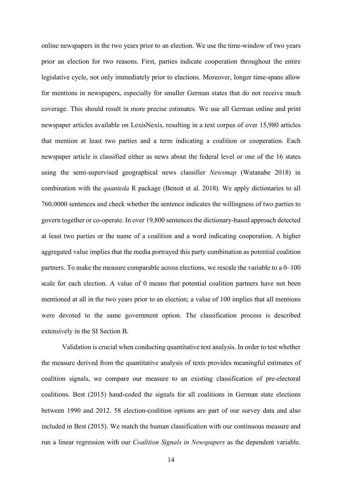online newspapers in the two years prior to an election. We use the time-window of two years prior an election for two reasons. First, parties indicate cooperation throughout the entire legislative cycle, not only immediately prior to elections. Moreover, longer time-spans allow for mentions in newspapers, especially for smaller German states that do not receive much coverage. This should result in more precise estimates. We use all German online and print newspaper articles available on LexisNexis, resulting in a text corpus of over 15,980 articles that mention at least two parties and a term indicating a coalition or cooperation. Each newspaper article is classified either as news about the federal level or one of the 16 states using the semi-supervised geographical news classifier *Newsmap* (Watanabe 2018) in combination with the *quanteda* R package (Benoit et al. 2018). We apply dictionaries to all 760,0000 sentences and check whether the sentence indicates the willingness of two parties to govern together or co-operate. In over 19,800 sentences the dictionary-based approach detected at least two parties or the name of a coalition and a word indicating cooperation. A higher aggregated value implies that the media portrayed this party combination as potential coalition partners. To make the measure comparable across elections, we rescale the variable to a 0–100 scale for each election. A value of 0 means that potential coalition partners have not been mentioned at all in the two years prior to an election; a value of 100 implies that all mentions were devoted to the same government option. The classification process is described extensively in the SI Section B.

Validation is crucial when conducting quantitative text analysis. In order to test whether the measure derived from the quantitative analysis of texts provides meaningful estimates of coalition signals, we compare our measure to an existing classification of pre-electoral coalitions. Best (2015) hand-coded the signals for all coalitions in German state elections between 1990 and 2012. 58 election-coalition options are part of our survey data and also included in Best (2015). We match the human classification with our continuous measure and run a linear regression with our *Coalition Signals in Newspapers* as the dependent variable.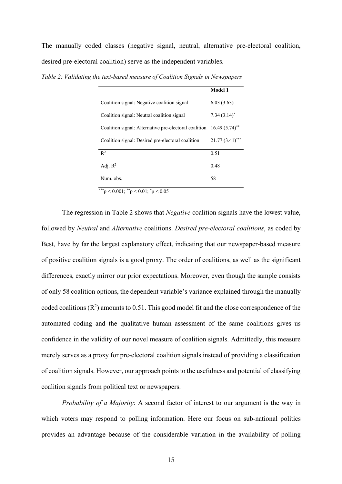The manually coded classes (negative signal, neutral, alternative pre-electoral coalition, desired pre-electoral coalition) serve as the independent variables.

|                                                                                  | <b>Model 1</b>    |
|----------------------------------------------------------------------------------|-------------------|
| Coalition signal: Negative coalition signal                                      | 6.03(3.63)        |
| Coalition signal: Neutral coalition signal                                       | $7.34(3.14)^*$    |
| Coalition signal: Alternative pre-electoral coalition 16.49 (5.74) <sup>**</sup> |                   |
| Coalition signal: Desired pre-electoral coalition                                | $21.77(3.41)$ *** |
| $R^2$                                                                            | 0.51              |
| Adj. $R^2$                                                                       | 0.48              |
| Num. obs.                                                                        | 58                |

*Table 2: Validating the text-based measure of Coalition Signals in Newspapers*

\*\*\*p < 0.001;  $*$ \*p < 0.01;  $*$ p < 0.05

The regression in Table 2 shows that *Negative* coalition signals have the lowest value, followed by *Neutral* and *Alternative* coalitions. *Desired pre-electoral coalitions*, as coded by Best, have by far the largest explanatory effect, indicating that our newspaper-based measure of positive coalition signals is a good proxy. The order of coalitions, as well as the significant differences, exactly mirror our prior expectations. Moreover, even though the sample consists of only 58 coalition options, the dependent variable's variance explained through the manually coded coalitions  $(R^2)$  amounts to 0.51. This good model fit and the close correspondence of the automated coding and the qualitative human assessment of the same coalitions gives us confidence in the validity of our novel measure of coalition signals. Admittedly, this measure merely serves as a proxy for pre-electoral coalition signals instead of providing a classification of coalition signals. However, our approach points to the usefulness and potential of classifying coalition signals from political text or newspapers.

*Probability of a Majority*: A second factor of interest to our argument is the way in which voters may respond to polling information. Here our focus on sub-national politics provides an advantage because of the considerable variation in the availability of polling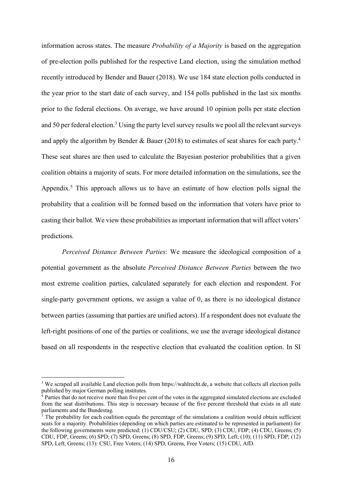information across states. The measure *Probability of a Majority* is based on the aggregation of pre-election polls published for the respective Land election, using the simulation method recently introduced by Bender and Bauer (2018). We use 184 state election polls conducted in the year prior to the start date of each survey, and 154 polls published in the last six months prior to the federal elections. On average, we have around 10 opinion polls per state election and 50 per federal election.<sup>3</sup> Using the party level survey results we pool all the relevant surveys and apply the algorithm by Bender & Bauer (2018) to estimates of seat shares for each party.<sup>4</sup> These seat shares are then used to calculate the Bayesian posterior probabilities that a given coalition obtains a majority of seats. For more detailed information on the simulations, see the Appendix.<sup>5</sup> This approach allows us to have an estimate of how election polls signal the probability that a coalition will be formed based on the information that voters have prior to casting their ballot. We view these probabilities as important information that will affect voters' predictions.

*Perceived Distance Between Parties*: We measure the ideological composition of a potential government as the absolute *Perceived Distance Between Parties* between the two most extreme coalition parties, calculated separately for each election and respondent. For single-party government options, we assign a value of 0, as there is no ideological distance between parties (assuming that parties are unified actors). If a respondent does not evaluate the left-right positions of one of the parties or coalitions, we use the average ideological distance based on all respondents in the respective election that evaluated the coalition option. In SI

<sup>&</sup>lt;sup>3</sup> We scraped all available Land election polls from https://wahlrecht.de, a website that collects all election polls published by major German polling institutes.

<sup>&</sup>lt;sup>4</sup> Parties that do not receive more than five per cent of the votes in the aggregated simulated elections are excluded from the seat distributions. This step is necessary because of the five percent threshold that exists in all state parliaments and the Bundestag.

 $\overline{5}$ . The probability for each coalition equals the percentage of the simulations a coalition would obtain sufficient seats for a majority. Probabilities (depending on which parties are estimated to be represented in parliament) for the following governments were predicted: (1) CDU/CSU; (2) CDU, SPD; (3) CDU, FDP; (4) CDU, Greens; (5) CDU, FDP, Greens; (6) SPD; (7) SPD, Greens; (8) SPD, FDP, Greens; (9) SPD, Left; (10); (11) SPD, FDP; (12) SPD, Left, Greens; (13): CSU, Free Voters; (14) SPD, Greens, Free Voters; (15) CDU, AfD.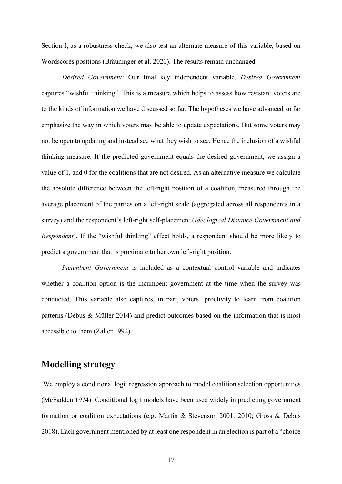Section I, as a robustness check, we also test an alternate measure of this variable, based on Wordscores positions (Bräuninger et al. 2020). The results remain unchanged.

*Desired Government*: Our final key independent variable*, Desired Government* captures "wishful thinking". This is a measure which helps to assess how resistant voters are to the kinds of information we have discussed so far. The hypotheses we have advanced so far emphasize the way in which voters may be able to update expectations. But some voters may not be open to updating and instead see what they wish to see. Hence the inclusion of a wishful thinking measure. If the predicted government equals the desired government, we assign a value of 1, and 0 for the coalitions that are not desired. As an alternative measure we calculate the absolute difference between the left-right position of a coalition, measured through the average placement of the parties on a left-right scale (aggregated across all respondents in a survey) and the respondent's left-right self-placement (*Ideological Distance Government and Respondent*). If the "wishful thinking" effect holds, a respondent should be more likely to predict a government that is proximate to her own left-right position.

*Incumbent Government* is included as a contextual control variable and indicates whether a coalition option is the incumbent government at the time when the survey was conducted. This variable also captures, in part, voters' proclivity to learn from coalition patterns (Debus & Müller 2014) and predict outcomes based on the information that is most accessible to them (Zaller 1992).

# **Modelling strategy**

We employ a conditional logit regression approach to model coalition selection opportunities (McFadden 1974). Conditional logit models have been used widely in predicting government formation or coalition expectations (e.g. Martin & Stevenson 2001, 2010; Gross & Debus 2018). Each government mentioned by at least one respondent in an election is part of a "choice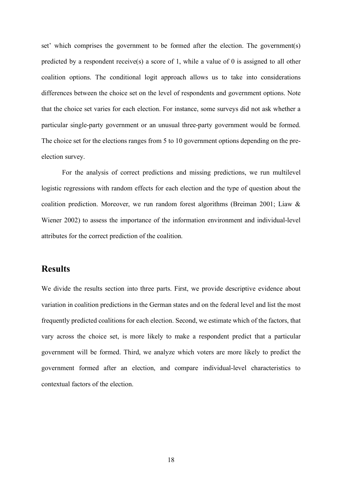set' which comprises the government to be formed after the election. The government(s) predicted by a respondent receive(s) a score of 1, while a value of 0 is assigned to all other coalition options. The conditional logit approach allows us to take into considerations differences between the choice set on the level of respondents and government options. Note that the choice set varies for each election. For instance, some surveys did not ask whether a particular single-party government or an unusual three-party government would be formed. The choice set for the elections ranges from 5 to 10 government options depending on the preelection survey.

For the analysis of correct predictions and missing predictions, we run multilevel logistic regressions with random effects for each election and the type of question about the coalition prediction. Moreover, we run random forest algorithms (Breiman 2001; Liaw & Wiener 2002) to assess the importance of the information environment and individual-level attributes for the correct prediction of the coalition.

# **Results**

We divide the results section into three parts. First, we provide descriptive evidence about variation in coalition predictions in the German states and on the federal level and list the most frequently predicted coalitions for each election. Second, we estimate which of the factors, that vary across the choice set, is more likely to make a respondent predict that a particular government will be formed. Third, we analyze which voters are more likely to predict the government formed after an election, and compare individual-level characteristics to contextual factors of the election.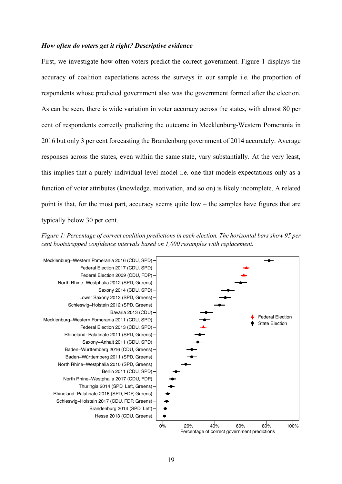#### *How often do voters get it right? Descriptive evidence*

First, we investigate how often voters predict the correct government. Figure 1 displays the accuracy of coalition expectations across the surveys in our sample i.e. the proportion of respondents whose predicted government also was the government formed after the election. As can be seen, there is wide variation in voter accuracy across the states, with almost 80 per cent of respondents correctly predicting the outcome in Mecklenburg-Western Pomerania in 2016 but only 3 per cent forecasting the Brandenburg government of 2014 accurately. Average responses across the states, even within the same state, vary substantially. At the very least, this implies that a purely individual level model i.e. one that models expectations only as a function of voter attributes (knowledge, motivation, and so on) is likely incomplete. A related point is that, for the most part, accuracy seems quite low – the samples have figures that are typically below 30 per cent.

*Figure 1: Percentage of correct coalition predictions in each election. The horizontal bars show 95 per cent bootstrapped confidence intervals based on 1,000 resamples with replacement.*

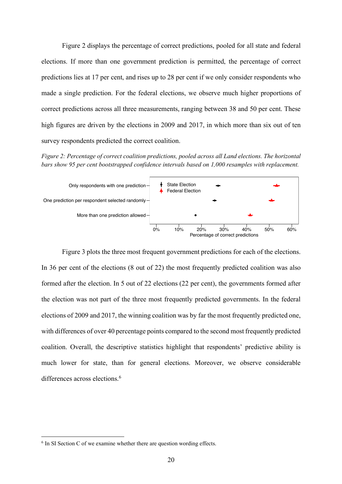Figure 2 displays the percentage of correct predictions, pooled for all state and federal elections. If more than one government prediction is permitted, the percentage of correct predictions lies at 17 per cent, and rises up to 28 per cent if we only consider respondents who made a single prediction. For the federal elections, we observe much higher proportions of correct predictions across all three measurements, ranging between 38 and 50 per cent. These high figures are driven by the elections in 2009 and 2017, in which more than six out of ten survey respondents predicted the correct coalition.

*Figure 2: Percentage of correct coalition predictions, pooled across all Land elections. The horizontal bars show 95 per cent bootstrapped confidence intervals based on 1,000 resamples with replacement.*



Figure 3 plots the three most frequent government predictions for each of the elections. In 36 per cent of the elections (8 out of 22) the most frequently predicted coalition was also formed after the election. In 5 out of 22 elections (22 per cent), the governments formed after the election was not part of the three most frequently predicted governments. In the federal elections of 2009 and 2017, the winning coalition was by far the most frequently predicted one, with differences of over 40 percentage points compared to the second most frequently predicted coalition. Overall, the descriptive statistics highlight that respondents' predictive ability is much lower for state, than for general elections. Moreover, we observe considerable differences across elections.<sup>6</sup>

 $6$  In SI Section C of we examine whether there are question wording effects.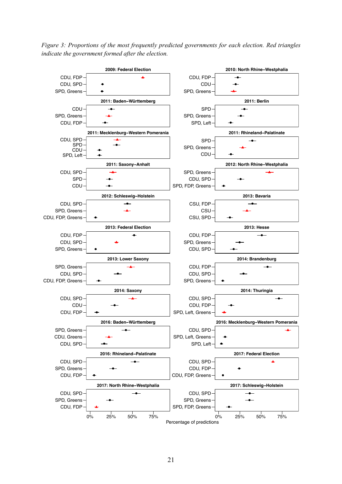*Figure 3: Proportions of the most frequently predicted governments for each election. Red triangles indicate the government formed after the election.*

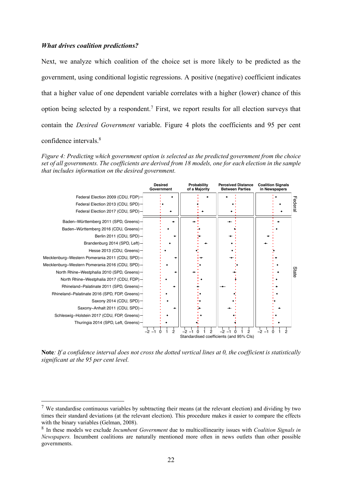#### *What drives coalition predictions?*

Next, we analyze which coalition of the choice set is more likely to be predicted as the government, using conditional logistic regressions. A positive (negative) coefficient indicates that a higher value of one dependent variable correlates with a higher (lower) chance of this option being selected by a respondent.7 First, we report results for all election surveys that contain the *Desired Government* variable. Figure 4 plots the coefficients and 95 per cent confidence intervals.8

*Figure 4: Predicting which government option is selected as the predicted government from the choice set of all governments. The coefficients are derived from 18 models, one for each election in the sample that includes information on the desired government.*



**Note***: If a confidence interval does not cross the dotted vertical lines at 0, the coefficient is statistically significant at the 95 per cent level.*

 <sup>7</sup> We standardise continuous variables by subtracting their means (at the relevant election) and dividing by two times their standard deviations (at the relevant election). This procedure makes it easier to compare the effects with the binary variables (Gelman, 2008).

<sup>8</sup> In these models we exclude *Incumbent Government* due to multicollinearity issues with *Coalition Signals in Newspapers.* Incumbent coalitions are naturally mentioned more often in news outlets than other possible governments.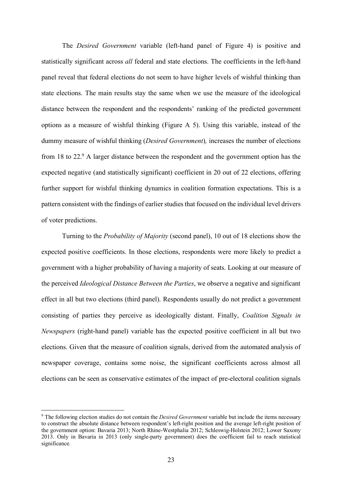The *Desired Government* variable (left-hand panel of Figure 4) is positive and statistically significant across *all* federal and state elections. The coefficients in the left-hand panel reveal that federal elections do not seem to have higher levels of wishful thinking than state elections. The main results stay the same when we use the measure of the ideological distance between the respondent and the respondents' ranking of the predicted government options as a measure of wishful thinking (Figure A 5). Using this variable, instead of the dummy measure of wishful thinking (*Desired Government*)*,* increases the number of elections from 18 to 22.9 A larger distance between the respondent and the government option has the expected negative (and statistically significant) coefficient in 20 out of 22 elections, offering further support for wishful thinking dynamics in coalition formation expectations. This is a pattern consistent with the findings of earlier studies that focused on the individual level drivers of voter predictions.

Turning to the *Probability of Majority* (second panel), 10 out of 18 elections show the expected positive coefficients. In those elections, respondents were more likely to predict a government with a higher probability of having a majority of seats. Looking at our measure of the perceived *Ideological Distance Between the Parties*, we observe a negative and significant effect in all but two elections (third panel). Respondents usually do not predict a government consisting of parties they perceive as ideologically distant. Finally, *Coalition Signals in Newspapers* (right-hand panel) variable has the expected positive coefficient in all but two elections. Given that the measure of coalition signals, derived from the automated analysis of newspaper coverage, contains some noise, the significant coefficients across almost all elections can be seen as conservative estimates of the impact of pre-electoral coalition signals

 <sup>9</sup> The following election studies do not contain the *Desired Government* variable but include the items necessary to construct the absolute distance between respondent's left-right position and the average left-right position of the government option: Bavaria 2013; North Rhine-Westphalia 2012; Schleswig-Holstein 2012; Lower Saxony 2013. Only in Bavaria in 2013 (only single-party government) does the coefficient fail to reach statistical significance.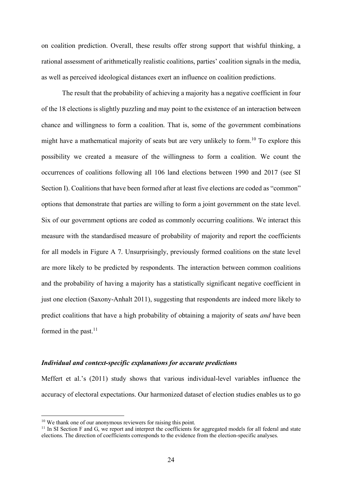on coalition prediction. Overall, these results offer strong support that wishful thinking, a rational assessment of arithmetically realistic coalitions, parties' coalition signals in the media, as well as perceived ideological distances exert an influence on coalition predictions.

The result that the probability of achieving a majority has a negative coefficient in four of the 18 elections is slightly puzzling and may point to the existence of an interaction between chance and willingness to form a coalition. That is, some of the government combinations might have a mathematical majority of seats but are very unlikely to form.<sup>10</sup> To explore this possibility we created a measure of the willingness to form a coalition. We count the occurrences of coalitions following all 106 land elections between 1990 and 2017 (see SI Section I). Coalitions that have been formed after at least five elections are coded as "common" options that demonstrate that parties are willing to form a joint government on the state level. Six of our government options are coded as commonly occurring coalitions. We interact this measure with the standardised measure of probability of majority and report the coefficients for all models in Figure A 7. Unsurprisingly, previously formed coalitions on the state level are more likely to be predicted by respondents. The interaction between common coalitions and the probability of having a majority has a statistically significant negative coefficient in just one election (Saxony-Anhalt 2011), suggesting that respondents are indeed more likely to predict coalitions that have a high probability of obtaining a majority of seats *and* have been formed in the past.<sup>11</sup>

#### *Individual and context-specific explanations for accurate predictions*

Meffert et al.'s (2011) study shows that various individual-level variables influence the accuracy of electoral expectations. Our harmonized dataset of election studies enables us to go

 <sup>10</sup> We thank one of our anonymous reviewers for raising this point.

 $11$  In SI Section F and G, we report and interpret the coefficients for aggregated models for all federal and state elections. The direction of coefficients corresponds to the evidence from the election-specific analyses.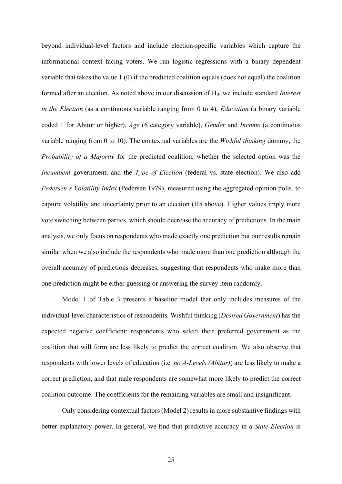beyond individual-level factors and include election-specific variables which capture the informational context facing voters. We run logistic regressions with a binary dependent variable that takes the value 1 (0) if the predicted coalition equals (does not equal) the coalition formed after an election. As noted above in our discussion of H0, we include standard *Interest in the Election* (as a continuous variable ranging from 0 to 4), *Education* (a binary variable coded 1 for Abitur or higher), *Age* (6 category variable), *Gender* and *Income* (a continuous variable ranging from 0 to 10). The contextual variables are the *Wishful thinking* dummy, the *Probability of a Majority* for the predicted coalition, whether the selected option was the *Incumbent* government, and the *Type of Election* (federal vs. state election). We also add *Pedersen's Volatility Index* (Pedersen 1979), measured using the aggregated opinion polls, to capture volatility and uncertainty prior to an election (H5 above). Higher values imply more vote switching between parties, which should decrease the accuracy of predictions. In the main analysis, we only focus on respondents who made exactly one prediction but our results remain similar when we also include the respondents who made more than one prediction although the overall accuracy of predictions decreases, suggesting that respondents who make more than one prediction might be either guessing or answering the survey item randomly.

Model 1 of Table 3 presents a baseline model that only includes measures of the individual-level characteristics of respondents. Wishful thinking (*Desired Government*) has the expected negative coefficient: respondents who select their preferred government as the coalition that will form are less likely to predict the correct coalition. We also observe that respondents with lower levels of education (i.e. *no A-Levels (Abitur)*) are less likely to make a correct prediction, and that male respondents are somewhat more likely to predict the correct coalition outcome. The coefficients for the remaining variables are small and insignificant.

Only considering contextual factors (Model 2) results in more substantive findings with better explanatory power. In general, we find that predictive accuracy in a *State Election* is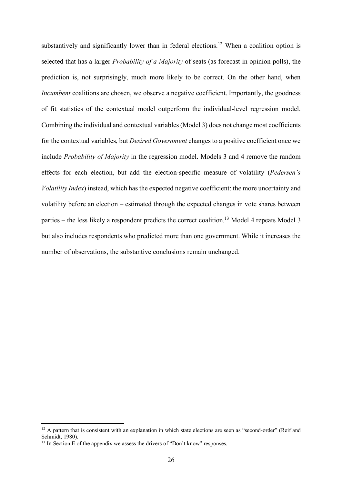substantively and significantly lower than in federal elections.<sup>12</sup> When a coalition option is selected that has a larger *Probability of a Majority* of seats (as forecast in opinion polls), the prediction is, not surprisingly, much more likely to be correct. On the other hand, when *Incumbent* coalitions are chosen, we observe a negative coefficient. Importantly, the goodness of fit statistics of the contextual model outperform the individual-level regression model. Combining the individual and contextual variables (Model 3) does not change most coefficients for the contextual variables, but *Desired Government* changes to a positive coefficient once we include *Probability of Majority* in the regression model. Models 3 and 4 remove the random effects for each election, but add the election-specific measure of volatility (*Pedersen's Volatility Index*) instead, which has the expected negative coefficient: the more uncertainty and volatility before an election – estimated through the expected changes in vote shares between parties – the less likely a respondent predicts the correct coalition.13 Model 4 repeats Model 3 but also includes respondents who predicted more than one government. While it increases the number of observations, the substantive conclusions remain unchanged.

<sup>&</sup>lt;sup>12</sup> A pattern that is consistent with an explanation in which state elections are seen as "second-order" (Reif and Schmidt, 1980).

<sup>&</sup>lt;sup>13</sup> In Section E of the appendix we assess the drivers of "Don't know" responses.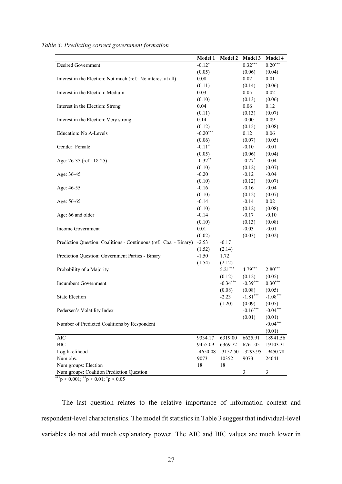|                                                                    | Model 1    | Model 2    | <b>Model 3</b> | Model 4        |
|--------------------------------------------------------------------|------------|------------|----------------|----------------|
| Desired Government                                                 | $-0.12*$   |            | $0.32***$      | $0.20***$      |
|                                                                    | (0.05)     |            | (0.06)         | (0.04)         |
| Interest in the Election: Not much (ref.: No interest at all)      | 0.08       |            | 0.02           | 0.01           |
|                                                                    | (0.11)     |            | (0.14)         | (0.06)         |
| Interest in the Election: Medium                                   | 0.03       |            | 0.05           | 0.02           |
|                                                                    | (0.10)     |            | (0.13)         | (0.06)         |
| Interest in the Election: Strong                                   | 0.04       |            | 0.06           | 0.12           |
|                                                                    | (0.11)     |            | (0.13)         | (0.07)         |
| Interest in the Election: Very strong                              | 0.14       |            | $-0.00$        | 0.09           |
|                                                                    | (0.12)     |            | (0.15)         | (0.08)         |
| Education: No A-Levels                                             | $-0.20***$ |            | 0.12           | 0.06           |
|                                                                    | (0.06)     |            | (0.07)         | (0.05)         |
| Gender: Female                                                     | $-0.11*$   |            | $-0.10$        | $-0.01$        |
|                                                                    | (0.05)     |            | (0.06)         | (0.04)         |
| Age: 26-35 (ref.: 18-25)                                           | $-0.32**$  |            | $-0.27*$       | $-0.04$        |
|                                                                    | (0.10)     |            | (0.12)         | (0.07)         |
| Age: 36-45                                                         | $-0.20$    |            | $-0.12$        | $-0.04$        |
|                                                                    | (0.10)     |            | (0.12)         | (0.07)         |
| Age: 46-55                                                         | $-0.16$    |            | $-0.16$        | $-0.04$        |
|                                                                    | (0.10)     |            | (0.12)         | (0.07)         |
| Age: 56-65                                                         | $-0.14$    |            | $-0.14$        | 0.02           |
|                                                                    | (0.10)     |            | (0.12)         | (0.08)         |
| Age: 66 and older                                                  | $-0.14$    |            | $-0.17$        | $-0.10$        |
|                                                                    | (0.10)     |            | (0.13)         | (0.08)         |
| Income Government                                                  | 0.01       |            | $-0.03$        | $-0.01$        |
|                                                                    | (0.02)     |            | (0.03)         | (0.02)         |
| Prediction Question: Coalitions - Continuous (ref.: Coa. - Binary) | $-2.53$    | $-0.17$    |                |                |
|                                                                    | (1.52)     | (2.14)     |                |                |
| Prediction Question: Government Parties - Binary                   | $-1.50$    | 1.72       |                |                |
|                                                                    | (1.54)     | (2.12)     |                |                |
| Probability of a Majority                                          |            | $5.21***$  | $4.79***$      | $2.80***$      |
|                                                                    |            | (0.12)     | (0.12)         | (0.05)         |
| Incumbent Government                                               |            | $-0.34***$ | $-0.39***$     | $0.30***$      |
|                                                                    |            | (0.08)     | (0.08)         | (0.05)         |
| <b>State Election</b>                                              |            | $-2.23$    | $-1.81***$     | $-1.08***$     |
|                                                                    |            | (1.20)     | (0.09)         | (0.05)         |
| Pedersen's Volatility Index                                        |            |            | $-0.16***$     | $-0.04***$     |
|                                                                    |            |            | (0.01)         | (0.01)         |
| Number of Predicted Coalitions by Respondent                       |            |            |                | $-0.04***$     |
|                                                                    |            |            |                | (0.01)         |
| <b>AIC</b>                                                         | 9334.17    | 6319.00    | 6625.91        | 18941.56       |
| <b>BIC</b>                                                         | 9455.09    | 6369.72    | 6761.05        | 19103.31       |
| Log likelihood                                                     | $-4650.08$ | $-3152.50$ | $-3293.95$     | $-9450.78$     |
| Num obs.                                                           | 9073       | 10352      | 9073           | 24041          |
| Num groups: Election                                               | 18         | 18         |                |                |
| Num groups: Coalition Prediction Question                          |            |            | 3              | $\mathfrak{Z}$ |
|                                                                    |            |            |                |                |

*Table 3: Predicting correct government formation*

\*\*\*p < 0.001;  $*$ \*p < 0.01;  $*$ p < 0.05

The last question relates to the relative importance of information context and respondent-level characteristics. The model fit statistics in Table 3 suggest that individual-level variables do not add much explanatory power. The AIC and BIC values are much lower in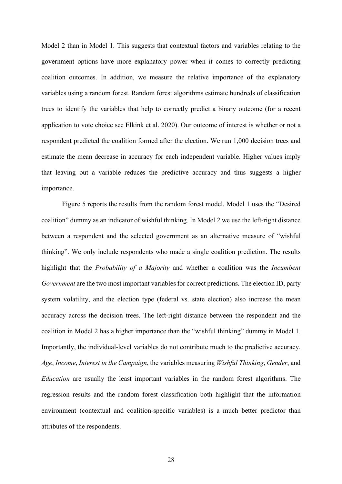Model 2 than in Model 1. This suggests that contextual factors and variables relating to the government options have more explanatory power when it comes to correctly predicting coalition outcomes. In addition, we measure the relative importance of the explanatory variables using a random forest. Random forest algorithms estimate hundreds of classification trees to identify the variables that help to correctly predict a binary outcome (for a recent application to vote choice see Elkink et al. 2020). Our outcome of interest is whether or not a respondent predicted the coalition formed after the election. We run 1,000 decision trees and estimate the mean decrease in accuracy for each independent variable. Higher values imply that leaving out a variable reduces the predictive accuracy and thus suggests a higher importance.

Figure 5 reports the results from the random forest model. Model 1 uses the "Desired coalition" dummy as an indicator of wishful thinking. In Model 2 we use the left-right distance between a respondent and the selected government as an alternative measure of "wishful thinking". We only include respondents who made a single coalition prediction. The results highlight that the *Probability of a Majority* and whether a coalition was the *Incumbent Government* are the two most important variables for correct predictions. The election ID, party system volatility, and the election type (federal vs. state election) also increase the mean accuracy across the decision trees. The left-right distance between the respondent and the coalition in Model 2 has a higher importance than the "wishful thinking" dummy in Model 1. Importantly, the individual-level variables do not contribute much to the predictive accuracy. *Age*, *Income*, *Interest in the Campaign*, the variables measuring *Wishful Thinking*, *Gender*, and *Education* are usually the least important variables in the random forest algorithms. The regression results and the random forest classification both highlight that the information environment (contextual and coalition-specific variables) is a much better predictor than attributes of the respondents.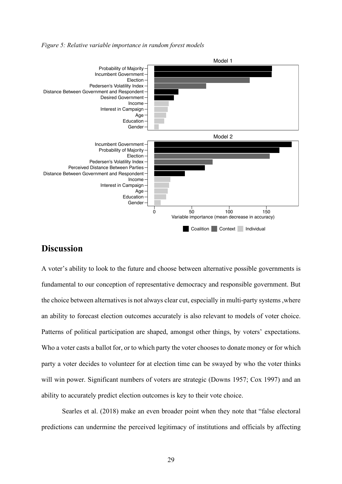*Figure 5: Relative variable importance in random forest models*



# **Discussion**

A voter's ability to look to the future and choose between alternative possible governments is fundamental to our conception of representative democracy and responsible government. But the choice between alternatives is not always clear cut, especially in multi-party systems ,where an ability to forecast election outcomes accurately is also relevant to models of voter choice. Patterns of political participation are shaped, amongst other things, by voters' expectations. Who a voter casts a ballot for, or to which party the voter chooses to donate money or for which party a voter decides to volunteer for at election time can be swayed by who the voter thinks will win power. Significant numbers of voters are strategic (Downs 1957; Cox 1997) and an ability to accurately predict election outcomes is key to their vote choice.

Searles et al. (2018) make an even broader point when they note that "false electoral predictions can undermine the perceived legitimacy of institutions and officials by affecting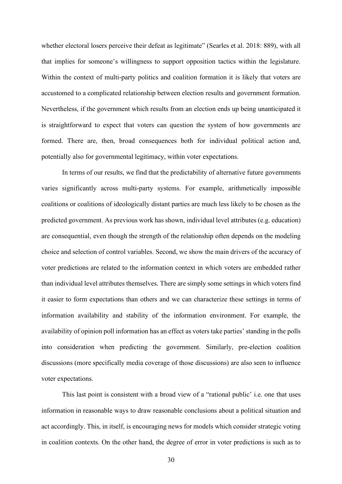whether electoral losers perceive their defeat as legitimate" (Searles et al. 2018: 889), with all that implies for someone's willingness to support opposition tactics within the legislature. Within the context of multi-party politics and coalition formation it is likely that voters are accustomed to a complicated relationship between election results and government formation. Nevertheless, if the government which results from an election ends up being unanticipated it is straightforward to expect that voters can question the system of how governments are formed. There are, then, broad consequences both for individual political action and, potentially also for governmental legitimacy, within voter expectations.

In terms of our results, we find that the predictability of alternative future governments varies significantly across multi-party systems. For example, arithmetically impossible coalitions or coalitions of ideologically distant parties are much less likely to be chosen as the predicted government. As previous work has shown, individual level attributes (e.g. education) are consequential, even though the strength of the relationship often depends on the modeling choice and selection of control variables. Second, we show the main drivers of the accuracy of voter predictions are related to the information context in which voters are embedded rather than individual level attributes themselves. There are simply some settings in which voters find it easier to form expectations than others and we can characterize these settings in terms of information availability and stability of the information environment. For example, the availability of opinion poll information has an effect as voters take parties' standing in the polls into consideration when predicting the government. Similarly, pre-election coalition discussions (more specifically media coverage of those discussions) are also seen to influence voter expectations.

This last point is consistent with a broad view of a "rational public' i.e. one that uses information in reasonable ways to draw reasonable conclusions about a political situation and act accordingly. This, in itself, is encouraging news for models which consider strategic voting in coalition contexts. On the other hand, the degree of error in voter predictions is such as to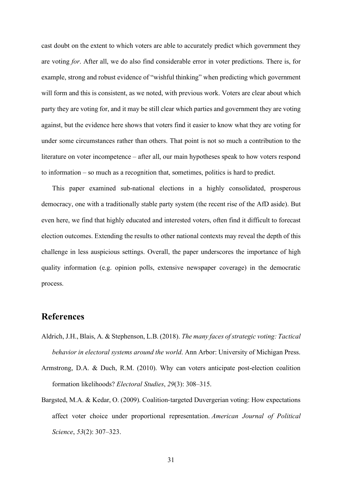cast doubt on the extent to which voters are able to accurately predict which government they are voting *for*. After all, we do also find considerable error in voter predictions. There is, for example, strong and robust evidence of "wishful thinking" when predicting which government will form and this is consistent, as we noted, with previous work. Voters are clear about which party they are voting for, and it may be still clear which parties and government they are voting against, but the evidence here shows that voters find it easier to know what they are voting for under some circumstances rather than others. That point is not so much a contribution to the literature on voter incompetence – after all, our main hypotheses speak to how voters respond to information – so much as a recognition that, sometimes, politics is hard to predict.

This paper examined sub-national elections in a highly consolidated, prosperous democracy, one with a traditionally stable party system (the recent rise of the AfD aside). But even here, we find that highly educated and interested voters, often find it difficult to forecast election outcomes. Extending the results to other national contexts may reveal the depth of this challenge in less auspicious settings. Overall, the paper underscores the importance of high quality information (e.g. opinion polls, extensive newspaper coverage) in the democratic process.

## **References**

- Aldrich, J.H., Blais, A. & Stephenson, L.B. (2018). *The many faces of strategic voting: Tactical behavior in electoral systems around the world*. Ann Arbor: University of Michigan Press.
- Armstrong, D.A. & Duch, R.M. (2010). Why can voters anticipate post-election coalition formation likelihoods? *Electoral Studies*, *29*(3): 308–315.
- Bargsted, M.A. & Kedar, O. (2009). Coalition-targeted Duvergerian voting: How expectations affect voter choice under proportional representation. *American Journal of Political Science*, *53*(2): 307–323.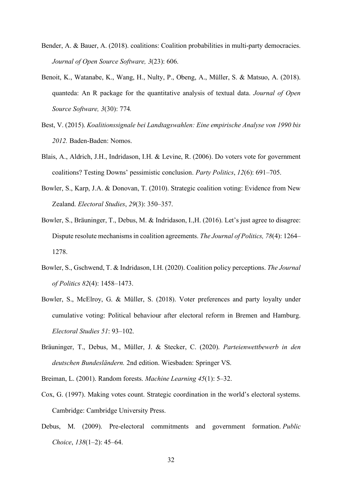- Bender, A. & Bauer, A. (2018). coalitions: Coalition probabilities in multi-party democracies. *Journal of Open Source Software, 3*(23): 606.
- Benoit, K., Watanabe, K., Wang, H., Nulty, P., Obeng, A., Müller, S. & Matsuo, A. (2018). quanteda: An R package for the quantitative analysis of textual data. *Journal of Open Source Software, 3*(30): 774*.*
- Best, V. (2015). *Koalitionssignale bei Landtagswahlen: Eine empirische Analyse von 1990 bis 2012.* Baden-Baden: Nomos.
- Blais, A., Aldrich, J.H., Indridason, I.H. & Levine, R. (2006). Do voters vote for government coalitions? Testing Downs' pessimistic conclusion. *Party Politics*, *12*(6): 691–705.
- Bowler, S., Karp, J.A. & Donovan, T. (2010). Strategic coalition voting: Evidence from New Zealand. *Electoral Studies*, *29*(3): 350–357.
- Bowler, S., Bräuninger, T., Debus, M. & Indridason, I.,H. (2016). Let's just agree to disagree: Dispute resolute mechanisms in coalition agreements. *The Journal of Politics, 78*(4): 1264– 1278.
- Bowler, S., Gschwend, T. & Indridason, I.H. (2020). Coalition policy perceptions. *The Journal of Politics 82*(4): 1458–1473.
- Bowler, S., McElroy, G. & Müller, S. (2018). Voter preferences and party loyalty under cumulative voting: Political behaviour after electoral reform in Bremen and Hamburg. *Electoral Studies 51*: 93–102.
- Bräuninger, T., Debus, M., Müller, J. & Stecker, C. (2020). *Parteienwettbewerb in den deutschen Bundesländern.* 2nd edition. Wiesbaden: Springer VS.
- Breiman, L. (2001). Random forests. *Machine Learning 45*(1): 5–32.
- Cox, G. (1997). Making votes count. Strategic coordination in the world's electoral systems. Cambridge: Cambridge University Press.
- Debus, M. (2009). Pre-electoral commitments and government formation. *Public Choice*, *138*(1–2): 45–64.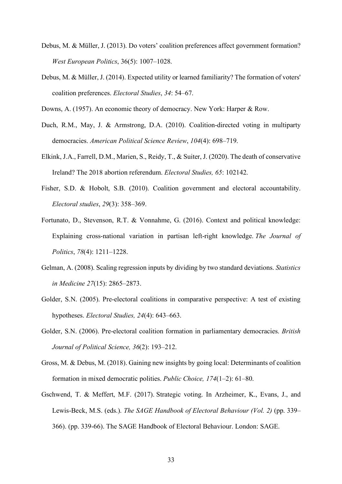- Debus, M. & Müller, J. (2013). Do voters' coalition preferences affect government formation? *West European Politics*, 36(5): 1007–1028.
- Debus, M. & Müller, J. (2014). Expected utility or learned familiarity? The formation of voters' coalition preferences. *Electoral Studies*, *34*: 54–67.
- Downs, A. (1957). An economic theory of democracy. New York: Harper & Row.
- Duch, R.M., May, J. & Armstrong, D.A. (2010). Coalition-directed voting in multiparty democracies. *American Political Science Review*, *104*(4): 698–719.
- Elkink, J.A., Farrell, D.M., Marien, S., Reidy, T., & Suiter, J. (2020). The death of conservative Ireland? The 2018 abortion referendum. *Electoral Studies, 65*: 102142.
- Fisher, S.D. & Hobolt, S.B. (2010). Coalition government and electoral accountability. *Electoral studies*, *29*(3): 358–369.
- Fortunato, D., Stevenson, R.T. & Vonnahme, G. (2016). Context and political knowledge: Explaining cross-national variation in partisan left-right knowledge. *The Journal of Politics*, *78*(4): 1211–1228.
- Gelman, A. (2008). Scaling regression inputs by dividing by two standard deviations. *Statistics in Medicine 27*(15): 2865–2873.
- Golder, S.N. (2005). Pre-electoral coalitions in comparative perspective: A test of existing hypotheses. *Electoral Studies, 24*(4): 643–663.
- Golder, S.N. (2006). Pre-electoral coalition formation in parliamentary democracies. *British Journal of Political Science, 36*(2): 193–212.
- Gross, M. & Debus, M. (2018). Gaining new insights by going local: Determinants of coalition formation in mixed democratic polities. *Public Choice, 174*(1–2): 61–80.
- Gschwend, T. & Meffert, M.F. (2017). Strategic voting. In Arzheimer, K., Evans, J., and Lewis-Beck, M.S. (eds.). *The SAGE Handbook of Electoral Behaviour (Vol. 2)* (pp. 339– 366). (pp. 339-66). The SAGE Handbook of Electoral Behaviour. London: SAGE.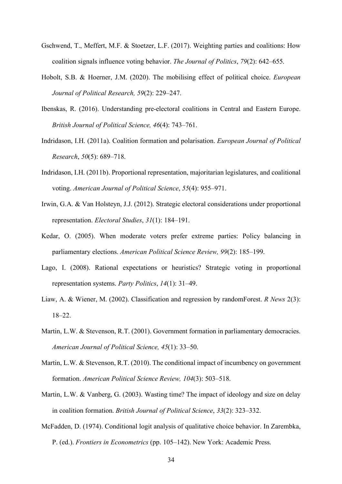- Gschwend, T., Meffert, M.F. & Stoetzer, L.F. (2017). Weighting parties and coalitions: How coalition signals influence voting behavior. *The Journal of Politics*, *79*(2): 642–655.
- Hobolt, S.B. & Hoerner, J.M. (2020). The mobilising effect of political choice. *European Journal of Political Research, 59*(2): 229–247.
- Ibenskas, R. (2016). Understanding pre-electoral coalitions in Central and Eastern Europe. *British Journal of Political Science, 46*(4): 743–761.
- Indridason, I.H. (2011a). Coalition formation and polarisation. *European Journal of Political Research*, *50*(5): 689–718.
- Indridason, I.H. (2011b). Proportional representation, majoritarian legislatures, and coalitional voting. *American Journal of Political Science*, *55*(4): 955–971.
- Irwin, G.A. & Van Holsteyn, J.J. (2012). Strategic electoral considerations under proportional representation. *Electoral Studies*, *31*(1): 184–191.
- Kedar, O. (2005). When moderate voters prefer extreme parties: Policy balancing in parliamentary elections. *American Political Science Review, 99*(2): 185–199.
- Lago, I. (2008). Rational expectations or heuristics? Strategic voting in proportional representation systems. *Party Politics*, *14*(1): 31–49.
- Liaw, A. & Wiener, M. (2002). Classification and regression by randomForest. *R News* 2(3): 18–22.
- Martin, L.W. & Stevenson, R.T. (2001). Government formation in parliamentary democracies. *American Journal of Political Science, 45*(1): 33–50.
- Martin, L.W. & Stevenson, R.T. (2010). The conditional impact of incumbency on government formation. *American Political Science Review, 104*(3): 503–518.
- Martin, L.W. & Vanberg, G. (2003). Wasting time? The impact of ideology and size on delay in coalition formation. *British Journal of Political Science*, *33*(2): 323–332.
- McFadden, D. (1974). Conditional logit analysis of qualitative choice behavior. In Zarembka, P. (ed.). *Frontiers in Econometrics* (pp. 105–142). New York: Academic Press.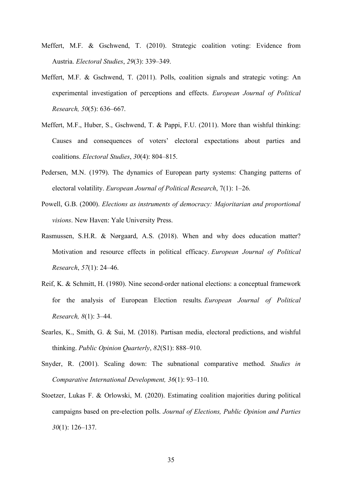- Meffert, M.F. & Gschwend, T. (2010). Strategic coalition voting: Evidence from Austria. *Electoral Studies*, *29*(3): 339–349.
- Meffert, M.F. & Gschwend, T. (2011). Polls, coalition signals and strategic voting: An experimental investigation of perceptions and effects. *European Journal of Political Research, 50*(5): 636–667.
- Meffert, M.F., Huber, S., Gschwend, T. & Pappi, F.U. (2011). More than wishful thinking: Causes and consequences of voters' electoral expectations about parties and coalitions. *Electoral Studies*, *30*(4): 804–815.
- Pedersen, M.N. (1979). The dynamics of European party systems: Changing patterns of electoral volatility. *European Journal of Political Research*, 7(1): 1–26.
- Powell, G.B. (2000). *Elections as instruments of democracy: Majoritarian and proportional visions*. New Haven: Yale University Press.
- Rasmussen, S.H.R. & Nørgaard, A.S. (2018). When and why does education matter? Motivation and resource effects in political efficacy. *European Journal of Political Research*, *57*(1): 24–46.
- Reif, K. & Schmitt, H. (1980). Nine second-order national elections: a conceptual framework for the analysis of European Election results*. European Journal of Political Research, 8*(1): 3–44.
- Searles, K., Smith, G. & Sui, M. (2018). Partisan media, electoral predictions, and wishful thinking. *Public Opinion Quarterly*, *82*(S1): 888–910.
- Snyder, R. (2001). Scaling down: The subnational comparative method. *Studies in Comparative International Development, 36*(1): 93–110.
- Stoetzer, Lukas F. & Orlowski, M. (2020). Estimating coalition majorities during political campaigns based on pre-election polls. *Journal of Elections, Public Opinion and Parties 30*(1): 126–137.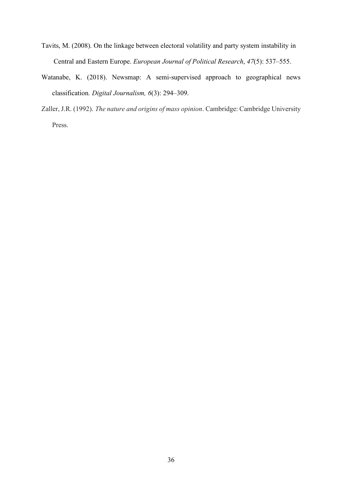- Tavits, M. (2008). On the linkage between electoral volatility and party system instability in Central and Eastern Europe. *European Journal of Political Research*, *47*(5): 537–555.
- Watanabe, K. (2018). Newsmap: A semi-supervised approach to geographical news classification*. Digital Journalism, 6*(3): 294–309.
- Zaller, J.R. (1992). *The nature and origins of mass opinion*. Cambridge: Cambridge University Press.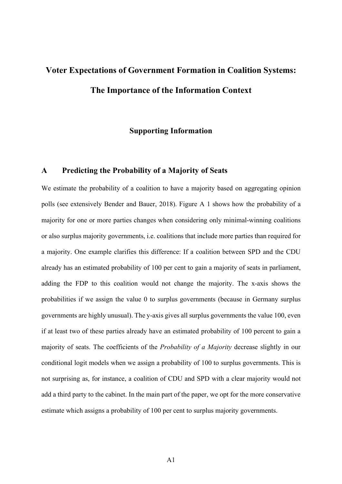# **Voter Expectations of Government Formation in Coalition Systems: The Importance of the Information Context**

## **Supporting Information**

## **A Predicting the Probability of a Majority of Seats**

We estimate the probability of a coalition to have a majority based on aggregating opinion polls (see extensively Bender and Bauer, 2018). Figure A 1 shows how the probability of a majority for one or more parties changes when considering only minimal-winning coalitions or also surplus majority governments, i.e. coalitions that include more parties than required for a majority. One example clarifies this difference: If a coalition between SPD and the CDU already has an estimated probability of 100 per cent to gain a majority of seats in parliament, adding the FDP to this coalition would not change the majority. The x-axis shows the probabilities if we assign the value 0 to surplus governments (because in Germany surplus governments are highly unusual). The y-axis gives all surplus governments the value 100, even if at least two of these parties already have an estimated probability of 100 percent to gain a majority of seats. The coefficients of the *Probability of a Majority* decrease slightly in our conditional logit models when we assign a probability of 100 to surplus governments. This is not surprising as, for instance, a coalition of CDU and SPD with a clear majority would not add a third party to the cabinet. In the main part of the paper, we opt for the more conservative estimate which assigns a probability of 100 per cent to surplus majority governments.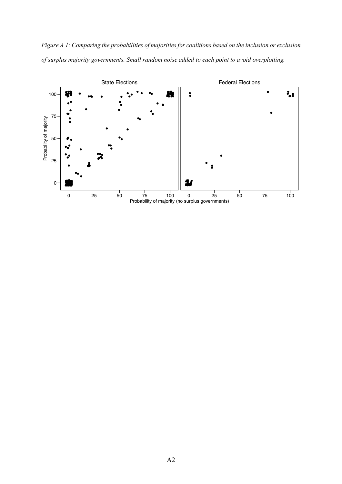*Figure A 1: Comparing the probabilities of majorities for coalitions based on the inclusion or exclusion of surplus majority governments. Small random noise added to each point to avoid overplotting.*

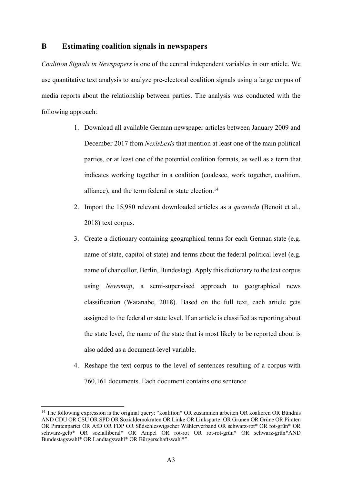## **B Estimating coalition signals in newspapers**

*Coalition Signals in Newspapers* is one of the central independent variables in our article. We use quantitative text analysis to analyze pre-electoral coalition signals using a large corpus of media reports about the relationship between parties. The analysis was conducted with the following approach:

- 1. Download all available German newspaper articles between January 2009 and December 2017 from *NexisLexis* that mention at least one of the main political parties, or at least one of the potential coalition formats, as well as a term that indicates working together in a coalition (coalesce, work together, coalition, alliance), and the term federal or state election. $14$
- 2. Import the 15,980 relevant downloaded articles as a *quanteda* (Benoit et al., 2018) text corpus.
- 3. Create a dictionary containing geographical terms for each German state (e.g. name of state, capitol of state) and terms about the federal political level (e.g. name of chancellor, Berlin, Bundestag). Apply this dictionary to the text corpus using *Newsmap*, a semi-supervised approach to geographical news classification (Watanabe, 2018). Based on the full text, each article gets assigned to the federal or state level. If an article is classified as reporting about the state level, the name of the state that is most likely to be reported about is also added as a document-level variable.
- 4. Reshape the text corpus to the level of sentences resulting of a corpus with 760,161 documents. Each document contains one sentence.

<sup>&</sup>lt;sup>14</sup> The following expression is the original query: "koalition\* OR zusammen arbeiten OR koalieren OR Bündnis AND CDU OR CSU OR SPD OR Sozialdemokraten OR Linke OR Linkspartei OR Grünen OR Grüne OR Piraten OR Piratenpartei OR AfD OR FDP OR Südschleswigscher Wählerverband OR schwarz-rot\* OR rot-grün\* OR schwarz-gelb\* OR sozialliberal\* OR Ampel OR rot-rot OR rot-rot-grün\* OR schwarz-grün\*AND Bundestagswahl\* OR Landtagswahl\* OR Bürgerschaftswahl\*".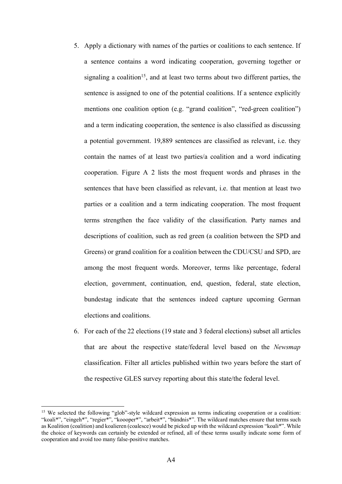- 5. Apply a dictionary with names of the parties or coalitions to each sentence. If a sentence contains a word indicating cooperation, governing together or signaling a coalition<sup>15</sup>, and at least two terms about two different parties, the sentence is assigned to one of the potential coalitions. If a sentence explicitly mentions one coalition option (e.g. "grand coalition", "red-green coalition") and a term indicating cooperation, the sentence is also classified as discussing a potential government. 19,889 sentences are classified as relevant, i.e. they contain the names of at least two parties/a coalition and a word indicating cooperation. Figure A 2 lists the most frequent words and phrases in the sentences that have been classified as relevant, i.e. that mention at least two parties or a coalition and a term indicating cooperation. The most frequent terms strengthen the face validity of the classification. Party names and descriptions of coalition, such as red green (a coalition between the SPD and Greens) or grand coalition for a coalition between the CDU/CSU and SPD, are among the most frequent words. Moreover, terms like percentage, federal election, government, continuation, end, question, federal, state election, bundestag indicate that the sentences indeed capture upcoming German elections and coalitions.
- 6. For each of the 22 elections (19 state and 3 federal elections) subset all articles that are about the respective state/federal level based on the *Newsmap*  classification. Filter all articles published within two years before the start of the respective GLES survey reporting about this state/the federal level.

<sup>&</sup>lt;sup>15</sup> We selected the following "glob"-style wildcard expression as terms indicating cooperation or a coalition: "koali\*", "eingeh\*", "regier\*", "koooper\*", "arbeit\*", "bündnis\*". The wildcard matches ensure that terms such as Koalition (coalition) and koalieren (coalesce) would be picked up with the wildcard expression "koali\*". While the choice of keywords can certainly be extended or refined, all of these terms usually indicate some form of cooperation and avoid too many false-positive matches.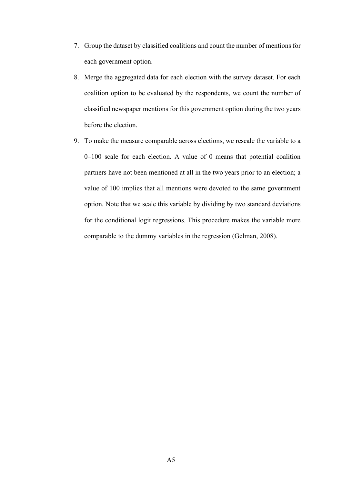- 7. Group the dataset by classified coalitions and count the number of mentions for each government option.
- 8. Merge the aggregated data for each election with the survey dataset. For each coalition option to be evaluated by the respondents, we count the number of classified newspaper mentions for this government option during the two years before the election.
- 9. To make the measure comparable across elections, we rescale the variable to a 0–100 scale for each election. A value of 0 means that potential coalition partners have not been mentioned at all in the two years prior to an election; a value of 100 implies that all mentions were devoted to the same government option. Note that we scale this variable by dividing by two standard deviations for the conditional logit regressions. This procedure makes the variable more comparable to the dummy variables in the regression (Gelman, 2008).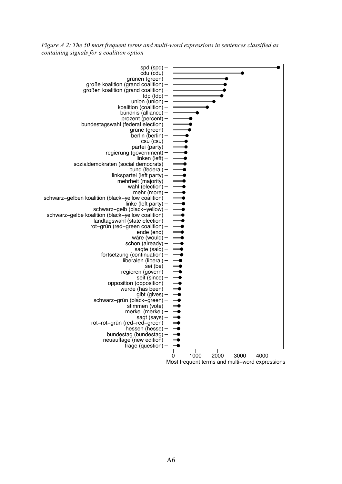*Figure A 2: The 50 most frequent terms and multi-word expressions in sentences classified as containing signals for a coalition option*

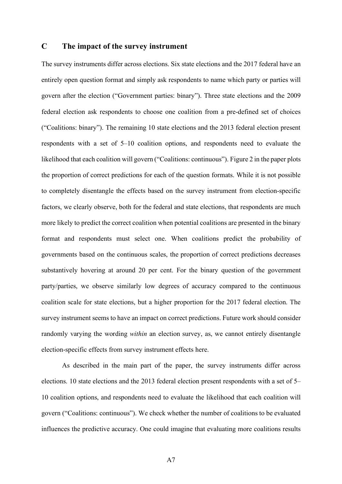## **C The impact of the survey instrument**

The survey instruments differ across elections. Six state elections and the 2017 federal have an entirely open question format and simply ask respondents to name which party or parties will govern after the election ("Government parties: binary"). Three state elections and the 2009 federal election ask respondents to choose one coalition from a pre-defined set of choices ("Coalitions: binary"). The remaining 10 state elections and the 2013 federal election present respondents with a set of 5–10 coalition options, and respondents need to evaluate the likelihood that each coalition will govern ("Coalitions: continuous"). Figure 2 in the paper plots the proportion of correct predictions for each of the question formats. While it is not possible to completely disentangle the effects based on the survey instrument from election-specific factors, we clearly observe, both for the federal and state elections, that respondents are much more likely to predict the correct coalition when potential coalitions are presented in the binary format and respondents must select one. When coalitions predict the probability of governments based on the continuous scales, the proportion of correct predictions decreases substantively hovering at around 20 per cent. For the binary question of the government party/parties, we observe similarly low degrees of accuracy compared to the continuous coalition scale for state elections, but a higher proportion for the 2017 federal election. The survey instrument seems to have an impact on correct predictions. Future work should consider randomly varying the wording *within* an election survey, as, we cannot entirely disentangle election-specific effects from survey instrument effects here.

As described in the main part of the paper, the survey instruments differ across elections. 10 state elections and the 2013 federal election present respondents with a set of 5– 10 coalition options, and respondents need to evaluate the likelihood that each coalition will govern ("Coalitions: continuous"). We check whether the number of coalitions to be evaluated influences the predictive accuracy. One could imagine that evaluating more coalitions results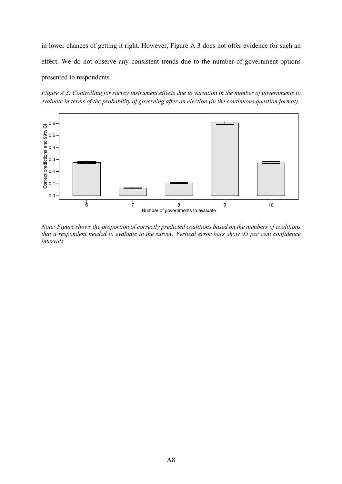in lower chances of getting it right. However, Figure A 3 does not offer evidence for such an effect. We do not observe any consistent trends due to the number of government options presented to respondents.

*Figure A 3: Controlling for survey instrument effects due to variation in the number of governments to evaluate in terms of the probability of governing after an election (in the continuous question format).*



*Note: Figure shows the proportion of correctly predicted coalitions based on the numbers of coalitions that a respondent needed to evaluate in the survey. Vertical error bars show 95 per cent confidence intervals.*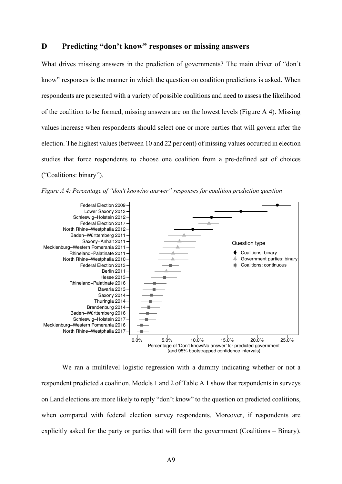# **D Predicting "don't know" responses or missing answers**

What drives missing answers in the prediction of governments? The main driver of "don't know" responses is the manner in which the question on coalition predictions is asked. When respondents are presented with a variety of possible coalitions and need to assess the likelihood of the coalition to be formed, missing answers are on the lowest levels (Figure A 4). Missing values increase when respondents should select one or more parties that will govern after the election. The highest values (between 10 and 22 per cent) of missing values occurred in election studies that force respondents to choose one coalition from a pre-defined set of choices ("Coalitions: binary").



*Figure A 4: Percentage of "don't know/no answer" responses for coalition prediction question*

We ran a multilevel logistic regression with a dummy indicating whether or not a respondent predicted a coalition. Models 1 and 2 of Table A 1 show that respondents in surveys on Land elections are more likely to reply "don't know" to the question on predicted coalitions, when compared with federal election survey respondents. Moreover, if respondents are explicitly asked for the party or parties that will form the government (Coalitions – Binary).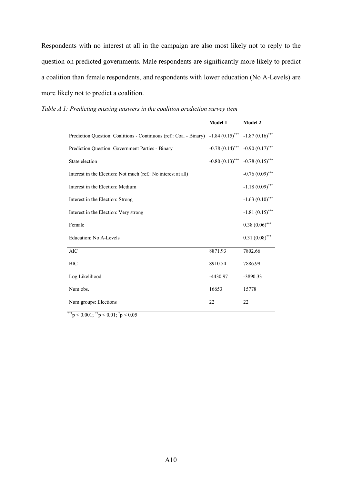Respondents with no interest at all in the campaign are also most likely not to reply to the question on predicted governments. Male respondents are significantly more likely to predict a coalition than female respondents, and respondents with lower education (No A-Levels) are more likely not to predict a coalition.

|                                                                    | Model 1           | Model 2           |
|--------------------------------------------------------------------|-------------------|-------------------|
| Prediction Question: Coalitions - Continuous (ref.: Coa. - Binary) | $-1.84(0.15)$ *** | $-1.87(0.16)$ *** |
| Prediction Question: Government Parties - Binary                   | $-0.78(0.14)$ *** | $-0.90(0.17)$ *** |
| State election                                                     | $-0.80(0.13)$ *** | $-0.78(0.15)$ *** |
| Interest in the Election: Not much (ref.: No interest at all)      |                   | $-0.76(0.09)$ *** |
| Interest in the Election: Medium                                   |                   | $-1.18(0.09)$ *** |
| Interest in the Election: Strong                                   |                   | $-1.63(0.10)$ *** |
| Interest in the Election: Very strong                              |                   | $-1.81(0.15)$ *** |
| Female                                                             |                   | $0.38(0.06)$ ***  |
| Education: No A-Levels                                             |                   | $0.31(0.08)$ ***  |
| <b>AIC</b>                                                         | 8871.93           | 7802.66           |
| <b>BIC</b>                                                         | 8910.54           | 7886.99           |
| Log Likelihood                                                     | -4430.97          | -3890.33          |
| Num obs.                                                           | 16653             | 15778             |
| Num groups: Elections                                              | 22                | 22                |

*Table A 1: Predicting missing answers in the coalition prediction survey item*

\*\*\*p < 0.001;  $*$ <sup>\*</sup>p < 0.01;  $*$ p < 0.05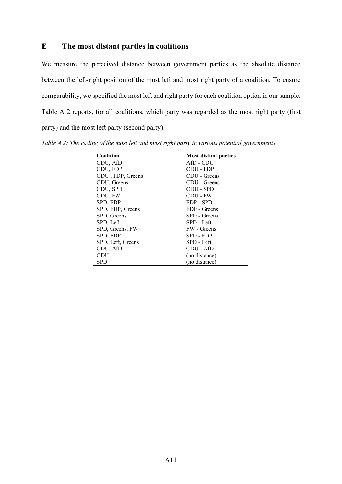## **E The most distant parties in coalitions**

We measure the perceived distance between government parties as the absolute distance between the left-right position of the most left and most right party of a coalition. To ensure comparability, we specified the most left and right party for each coalition option in our sample. Table A 2 reports, for all coalitions, which party was regarded as the most right party (first party) and the most left party (second party).

*Table A 2: The coding of the most left and most right party in various potential governments*

| <b>Coalition</b>  | <b>Most distant parties</b> |
|-------------------|-----------------------------|
| CDU, AfD          | AfD - CDU                   |
| CDU, FDP          | CDU - FDP                   |
| CDU, FDP, Greens  | CDU - Greens                |
| CDU, Greens       | CDU - Greens                |
| CDU, SPD          | CDU - SPD                   |
| CDU, FW           | CDU - FW                    |
| SPD, FDP          | FDP - SPD                   |
| SPD, FDP, Greens  | FDP - Greens                |
| SPD, Greens       | SPD - Greens                |
| SPD, Left         | SPD - Left                  |
| SPD, Greens, FW   | FW - Greens                 |
| SPD, FDP          | SPD - FDP                   |
| SPD, Left, Greens | SPD - Left                  |
| CDU, AfD          | CDU - AfD                   |
| CDU               | (no distance)               |
| <b>SPD</b>        | (no distance)               |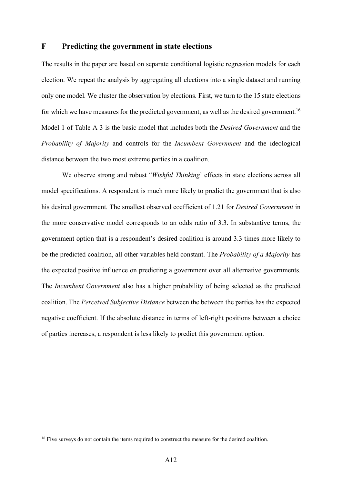## **F Predicting the government in state elections**

The results in the paper are based on separate conditional logistic regression models for each election. We repeat the analysis by aggregating all elections into a single dataset and running only one model. We cluster the observation by elections. First, we turn to the 15 state elections for which we have measures for the predicted government, as well as the desired government.<sup>16</sup> Model 1 of Table A 3 is the basic model that includes both the *Desired Government* and the *Probability of Majority* and controls for the *Incumbent Government* and the ideological distance between the two most extreme parties in a coalition.

We observe strong and robust "*Wishful Thinking*' effects in state elections across all model specifications. A respondent is much more likely to predict the government that is also his desired government. The smallest observed coefficient of 1.21 for *Desired Government* in the more conservative model corresponds to an odds ratio of 3.3. In substantive terms, the government option that is a respondent's desired coalition is around 3.3 times more likely to be the predicted coalition, all other variables held constant. The *Probability of a Majority* has the expected positive influence on predicting a government over all alternative governments. The *Incumbent Government* also has a higher probability of being selected as the predicted coalition. The *Perceived Subjective Distance* between the between the parties has the expected negative coefficient. If the absolute distance in terms of left-right positions between a choice of parties increases, a respondent is less likely to predict this government option.

<sup>&</sup>lt;sup>16</sup> Five surveys do not contain the items required to construct the measure for the desired coalition.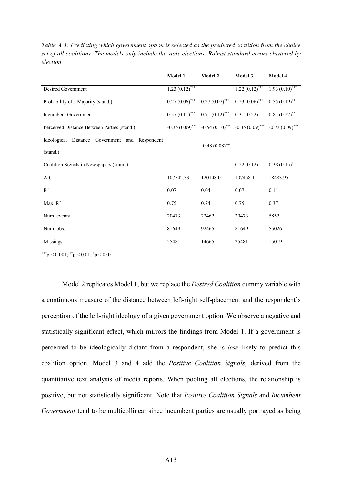|                                                | Model 1          | <b>Model 2</b>                      | Model 3           | Model 4           |
|------------------------------------------------|------------------|-------------------------------------|-------------------|-------------------|
| Desired Government                             | $1.23(0.12)$ *** |                                     | $1.22(0.12)$ ***  | $1.93(0.10)$ ***  |
| Probability of a Majority (stand.)             | $0.27(0.06)$ *** | $0.27(0.07)$ ***                    | $0.23(0.06)$ ***  | $0.55(0.19)$ **   |
| <b>Incumbent Government</b>                    | $0.57(0.11)$ *** | $0.71(0.12)$ ***                    | 0.31(0.22)        | $0.81(0.27)$ **   |
| Perceived Distance Between Parties (stand.)    |                  | $-0.35(0.09)$ *** $-0.54(0.10)$ *** | $-0.35(0.09)$ *** | $-0.73(0.09)$ *** |
| Ideological Distance Government and Respondent |                  | $-0.48(0.08)$ ***                   |                   |                   |
| (stand.)                                       |                  |                                     |                   |                   |
| Coalition Signals in Newspapers (stand.)       |                  |                                     | 0.22(0.12)        | $0.38(0.15)^{*}$  |
| $\rm AIC$                                      | 107542.33        | 120148.01                           | 107458.11         | 18483.95          |
| $\mathbb{R}^2$                                 | 0.07             | 0.04                                | 0.07              | 0.11              |
| Max. $R^2$                                     | 0.75             | 0.74                                | 0.75              | 0.37              |
| Num. events                                    | 20473            | 22462                               | 20473             | 5852              |
| Num. obs.                                      | 81649            | 92465                               | 81649             | 55026             |
| Missings                                       | 25481            | 14665                               | 25481             | 15019             |

*Table A 3: Predicting which government option is selected as the predicted coalition from the choice set of all coalitions. The models only include the state elections. Robust standard errors clustered by election.*

\*\*\*p < 0.001;  $*$ <sup>\*</sup>p < 0.01;  $*$ p < 0.05

Model 2 replicates Model 1, but we replace the *Desired Coalition* dummy variable with a continuous measure of the distance between left-right self-placement and the respondent's perception of the left-right ideology of a given government option. We observe a negative and statistically significant effect, which mirrors the findings from Model 1. If a government is perceived to be ideologically distant from a respondent, she is *less* likely to predict this coalition option. Model 3 and 4 add the *Positive Coalition Signals*, derived from the quantitative text analysis of media reports. When pooling all elections, the relationship is positive, but not statistically significant. Note that *Positive Coalition Signals* and *Incumbent Government* tend to be multicollinear since incumbent parties are usually portrayed as being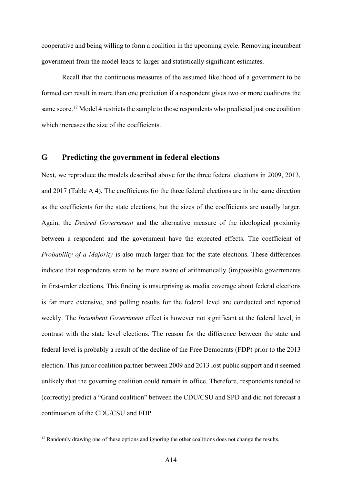cooperative and being willing to form a coalition in the upcoming cycle. Removing incumbent government from the model leads to larger and statistically significant estimates.

Recall that the continuous measures of the assumed likelihood of a government to be formed can result in more than one prediction if a respondent gives two or more coalitions the same score.<sup>17</sup> Model 4 restricts the sample to those respondents who predicted just one coalition which increases the size of the coefficients.

## **G Predicting the government in federal elections**

Next, we reproduce the models described above for the three federal elections in 2009, 2013, and 2017 (Table A 4). The coefficients for the three federal elections are in the same direction as the coefficients for the state elections, but the sizes of the coefficients are usually larger. Again, the *Desired Government* and the alternative measure of the ideological proximity between a respondent and the government have the expected effects. The coefficient of *Probability of a Majority* is also much larger than for the state elections. These differences indicate that respondents seem to be more aware of arithmetically (im)possible governments in first-order elections. This finding is unsurprising as media coverage about federal elections is far more extensive, and polling results for the federal level are conducted and reported weekly. The *Incumbent Government* effect is however not significant at the federal level, in contrast with the state level elections. The reason for the difference between the state and federal level is probably a result of the decline of the Free Democrats (FDP) prior to the 2013 election. This junior coalition partner between 2009 and 2013 lost public support and it seemed unlikely that the governing coalition could remain in office. Therefore, respondents tended to (correctly) predict a "Grand coalition" between the CDU/CSU and SPD and did not forecast a continuation of the CDU/CSU and FDP.

<sup>&</sup>lt;sup>17</sup> Randomly drawing one of these options and ignoring the other coalitions does not change the results.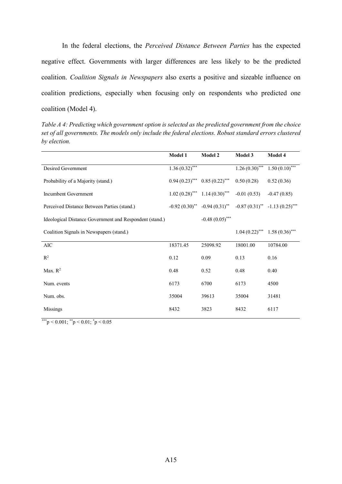In the federal elections, the *Perceived Distance Between Parties* has the expected negative effect. Governments with larger differences are less likely to be the predicted coalition. *Coalition Signals in Newspapers* also exerts a positive and sizeable influence on coalition predictions, especially when focusing only on respondents who predicted one coalition (Model 4).

*Table A 4: Predicting which government option is selected as the predicted government from the choice set of all governments. The models only include the federal elections. Robust standard errors clustered by election.*

|                                                         | Model 1          | Model 2                                                              | Model 3                            | Model 4                           |
|---------------------------------------------------------|------------------|----------------------------------------------------------------------|------------------------------------|-----------------------------------|
| Desired Government                                      | $1.36(0.32)$ *** |                                                                      |                                    | $1.26(0.30)$ *** $1.50(0.10)$ *** |
| Probability of a Majority (stand.)                      |                  | $0.94 (0.23)$ *** $0.85 (0.22)$ ***                                  | 0.50(0.28)                         | 0.52(0.36)                        |
| Incumbent Government                                    |                  | $1.02(0.28)$ <sup>***</sup> $1.14(0.30)$ <sup>***</sup>              | $-0.01(0.53)$                      | $-0.47(0.85)$                     |
| Perceived Distance Between Parties (stand.)             |                  | $-0.92(0.30)$ ** $-0.94(0.31)$ ** $-0.87(0.31)$ ** $-1.13(0.25)$ *** |                                    |                                   |
| Ideological Distance Government and Respondent (stand.) |                  | $-0.48(0.05)$ ***                                                    |                                    |                                   |
| Coalition Signals in Newspapers (stand.)                |                  |                                                                      | $1.04(0.22)$ *** 1.58 $(0.36)$ *** |                                   |
| $\rm AIC$                                               | 18371.45         | 25098.92                                                             | 18001.00                           | 10784.00                          |
| $\mathbb{R}^2$                                          | 0.12             | 0.09                                                                 | 0.13                               | 0.16                              |
| Max. $R^2$                                              | 0.48             | 0.52                                                                 | 0.48                               | 0.40                              |
| Num. events                                             | 6173             | 6700                                                                 | 6173                               | 4500                              |
| Num. obs.                                               | 35004            | 39613                                                                | 35004                              | 31481                             |
| <b>Missings</b>                                         | 8432             | 3823                                                                 | 8432                               | 6117                              |

\*\*\*p < 0.001;  $*$ <sup>\*</sup>p < 0.01;  $*$ p < 0.05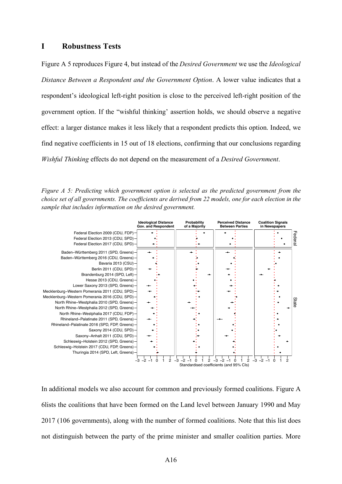### **I Robustness Tests**

Figure A 5 reproduces Figure 4, but instead of the *Desired Government* we use the *Ideological Distance Between a Respondent and the Government Option*. A lower value indicates that a respondent's ideological left-right position is close to the perceived left-right position of the government option. If the "wishful thinking' assertion holds, we should observe a negative effect: a larger distance makes it less likely that a respondent predicts this option. Indeed, we find negative coefficients in 15 out of 18 elections, confirming that our conclusions regarding *Wishful Thinking* effects do not depend on the measurement of a *Desired Government*.

*Figure A 5: Predicting which government option is selected as the predicted government from the choice set of all governments. The coefficients are derived from 22 models, one for each election in the sample that includes information on the desired government.*



In additional models we also account for common and previously formed coalitions. Figure A 6lists the coalitions that have been formed on the Land level between January 1990 and May 2017 (106 governments), along with the number of formed coalitions. Note that this list does not distinguish between the party of the prime minister and smaller coalition parties. More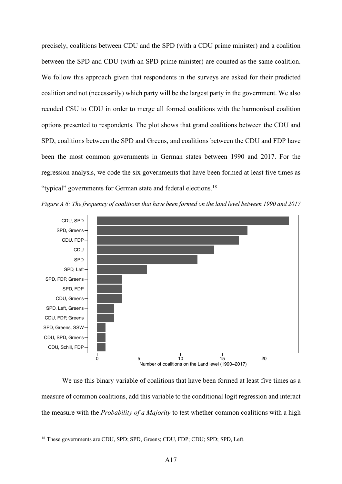precisely, coalitions between CDU and the SPD (with a CDU prime minister) and a coalition between the SPD and CDU (with an SPD prime minister) are counted as the same coalition. We follow this approach given that respondents in the surveys are asked for their predicted coalition and not (necessarily) which party will be the largest party in the government. We also recoded CSU to CDU in order to merge all formed coalitions with the harmonised coalition options presented to respondents. The plot shows that grand coalitions between the CDU and SPD, coalitions between the SPD and Greens, and coalitions between the CDU and FDP have been the most common governments in German states between 1990 and 2017. For the regression analysis, we code the six governments that have been formed at least five times as "typical" governments for German state and federal elections.18





We use this binary variable of coalitions that have been formed at least five times as a measure of common coalitions, add this variable to the conditional logit regression and interact the measure with the *Probability of a Majority* to test whether common coalitions with a high

<sup>&</sup>lt;sup>18</sup> These governments are CDU, SPD; SPD, Greens; CDU, FDP; CDU; SPD; SPD, Left.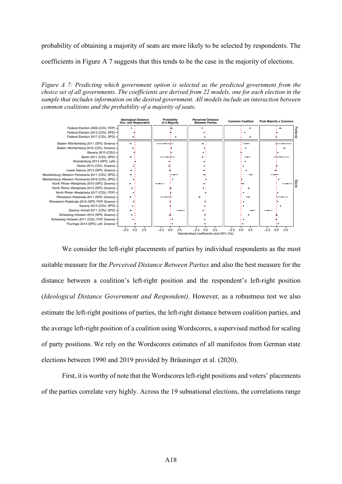probability of obtaining a majority of seats are more likely to be selected by respondents. The

coefficients in Figure A 7 suggests that this tends to be the case in the majority of elections.

*Figure A 7: Predicting which government option is selected as the predicted government from the choice set of all governments. The coefficients are derived from 22 models, one for each election in the sample that includes information on the desired government. All models include an interaction between common coalitions and the probability of a majority of seats.*



We consider the left-right placements of parties by individual respondents as the most suitable measure for the *Perceived Distance Between Parties* and also the best measure for the distance between a coalition's left-right position and the respondent's left-right position (*Ideological Distance Government and Respondent)*. However, as a robustness test we also estimate the left-right positions of parties, the left-right distance between coalition parties, and the average left-right position of a coalition using Wordscores, a supervised method for scaling of party positions. We rely on the Wordscores estimates of all manifestos from German state elections between 1990 and 2019 provided by Bräuninger et al. (2020).

First, it is worthy of note that the Wordscores left-right positions and voters' placements of the parties correlate very highly. Across the 19 subnational elections, the correlations range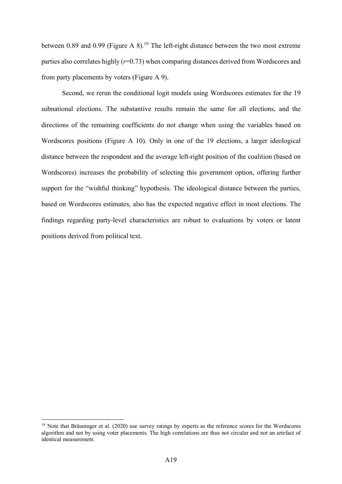between 0.89 and 0.99 (Figure A  $8$ ).<sup>19</sup> The left-right distance between the two most extreme parties also correlates highly (*r*=0.73) when comparing distances derived from Wordscores and from party placements by voters (Figure A 9).

Second, we rerun the conditional logit models using Wordscores estimates for the 19 subnational elections. The substantive results remain the same for all elections, and the directions of the remaining coefficients do not change when using the variables based on Wordscores positions (Figure A 10). Only in one of the 19 elections, a larger ideological distance between the respondent and the average left-right position of the coalition (based on Wordscores) increases the probability of selecting this government option, offering further support for the "wishful thinking" hypothesis. The ideological distance between the parties, based on Wordscores estimates, also has the expected negative effect in most elections. The findings regarding party-level characteristics are robust to evaluations by voters or latent positions derived from political text.

<sup>&</sup>lt;sup>19</sup> Note that Bräuninger et al. (2020) use survey ratings by experts as the reference scores for the Wordscores algorithm and not by using voter placements. The high correlations are thus not circular and not an artefact of identical measurement.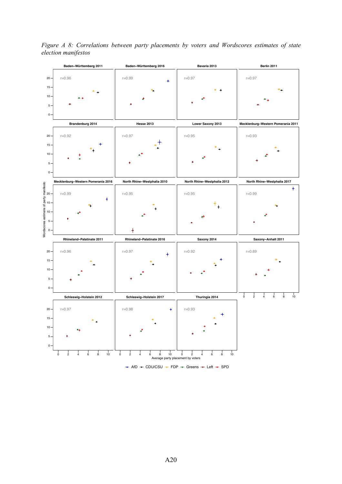

*Figure A 8: Correlations between party placements by voters and Wordscores estimates of state election manifestos*